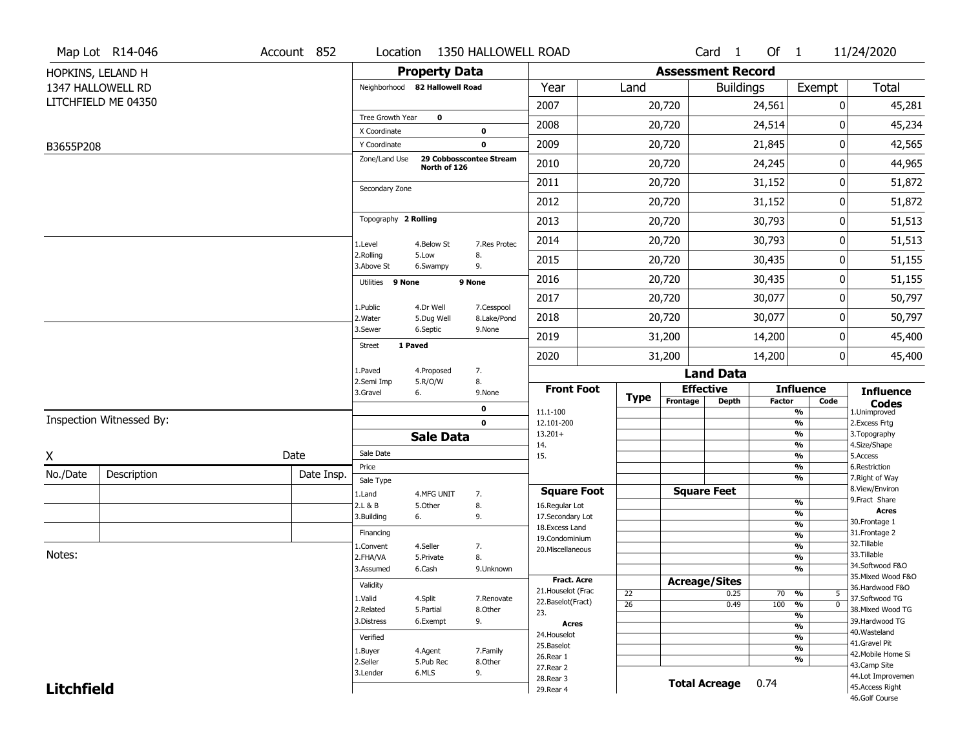|                   | Map Lot R14-046          | Account 852 | Location                       |                        | 1350 HALLOWELL ROAD     |                                  |                 |                              | Card <sub>1</sub> | Of 1          |                                           | 11/24/2020                       |
|-------------------|--------------------------|-------------|--------------------------------|------------------------|-------------------------|----------------------------------|-----------------|------------------------------|-------------------|---------------|-------------------------------------------|----------------------------------|
|                   | HOPKINS, LELAND H        |             |                                | <b>Property Data</b>   |                         |                                  |                 | <b>Assessment Record</b>     |                   |               |                                           |                                  |
|                   | 1347 HALLOWELL RD        |             | Neighborhood 82 Hallowell Road |                        |                         | Year                             | Land            |                              | <b>Buildings</b>  |               | Exempt                                    | <b>Total</b>                     |
|                   | LITCHFIELD ME 04350      |             |                                |                        |                         | 2007                             |                 | 20,720                       |                   | 24,561        |                                           | 0<br>45,281                      |
|                   |                          |             | Tree Growth Year               | $\mathbf 0$            |                         | 2008                             |                 | 20,720                       |                   | 24,514        |                                           | 0<br>45,234                      |
| B3655P208         |                          |             | X Coordinate<br>Y Coordinate   |                        | 0<br>$\mathbf 0$        | 2009                             |                 | 20,720                       |                   | 21,845        | 0                                         | 42,565                           |
|                   |                          |             | Zone/Land Use                  | North of 126           | 29 Cobbosscontee Stream | 2010                             |                 | 20,720                       |                   | 24,245        |                                           | 44,965<br>0                      |
|                   |                          |             |                                |                        |                         | 2011                             |                 | 20,720                       |                   | 31,152        |                                           | 0<br>51,872                      |
|                   |                          |             | Secondary Zone                 |                        |                         | 2012                             |                 | 20,720                       |                   | 31,152        |                                           | 0<br>51,872                      |
|                   |                          |             | Topography 2 Rolling           |                        |                         | 2013                             |                 | 20,720                       |                   | 30,793        | 0                                         | 51,513                           |
|                   |                          |             | 1.Level                        | 4.Below St             | 7.Res Protec            | 2014                             |                 | 20,720                       |                   | 30,793        | 0                                         | 51,513                           |
|                   |                          |             | 2.Rolling<br>3.Above St        | 5.Low<br>6.Swampy      | 8.<br>9.                | 2015                             |                 | 20,720                       |                   | 30,435        | 0                                         | 51,155                           |
|                   |                          |             | Utilities 9 None               |                        | 9 None                  | 2016                             |                 | 20,720                       |                   | 30,435        | 0                                         | 51,155                           |
|                   |                          |             | 1.Public                       | 4.Dr Well              | 7.Cesspool              | 2017                             |                 | 20,720                       |                   | 30,077        | 0                                         | 50,797                           |
|                   |                          |             | 2. Water<br>3.Sewer            | 5.Dug Well<br>6.Septic | 8.Lake/Pond<br>9.None   | 2018                             |                 | 20,720                       |                   | 30,077        |                                           | 0<br>50,797                      |
|                   |                          |             | 1 Paved<br>Street              |                        |                         | 2019                             |                 | 31,200                       |                   | 14,200        |                                           | 45,400<br>0                      |
|                   |                          |             |                                |                        |                         | 2020                             |                 | 31,200                       |                   | 14,200        |                                           | $\mathbf 0$<br>45,400            |
|                   |                          |             | 1.Paved<br>2.Semi Imp          | 4.Proposed<br>5.R/O/W  | 7.<br>8.                |                                  |                 |                              | <b>Land Data</b>  |               |                                           |                                  |
|                   |                          |             | 3.Gravel                       | 6.                     | 9.None                  | <b>Front Foot</b>                | <b>Type</b>     | <b>Effective</b><br>Frontage | <b>Depth</b>      | <b>Factor</b> | <b>Influence</b><br>Code                  | <b>Influence</b>                 |
|                   |                          |             |                                |                        | $\mathbf 0$             | 11.1-100                         |                 |                              |                   |               | $\frac{9}{6}$                             | <b>Codes</b><br>1.Unimproved     |
|                   | Inspection Witnessed By: |             |                                |                        | $\mathbf 0$             | 12.101-200<br>$13.201+$          |                 |                              |                   |               | $\frac{9}{6}$<br>$\frac{9}{6}$            | 2. Excess Frtg<br>3. Topography  |
|                   |                          |             |                                | <b>Sale Data</b>       |                         | 14.                              |                 |                              |                   |               | $\frac{9}{6}$                             | 4.Size/Shape                     |
| X                 |                          | Date        | Sale Date                      |                        |                         | 15.                              |                 |                              |                   |               | $\frac{9}{6}$                             | 5.Access                         |
| No./Date          | Description              | Date Insp.  | Price<br>Sale Type             |                        |                         |                                  |                 |                              |                   |               | $\overline{\frac{9}{6}}$<br>$\frac{9}{6}$ | 6.Restriction<br>7. Right of Way |
|                   |                          |             | 1.Land                         | 4.MFG UNIT             | 7.                      | <b>Square Foot</b>               |                 | <b>Square Feet</b>           |                   |               |                                           | 8.View/Environ                   |
|                   |                          |             | 2.L & B                        | 5.Other                | 8.                      | 16.Regular Lot                   |                 |                              |                   |               | %                                         | 9.Fract Share<br><b>Acres</b>    |
|                   |                          |             | 3.Building                     | 6.                     | 9.                      | 17.Secondary Lot                 |                 |                              |                   |               | %<br>$\frac{9}{6}$                        | 30. Frontage 1                   |
|                   |                          |             | Financing                      |                        |                         | 18.Excess Land<br>19.Condominium |                 |                              |                   |               | $\frac{9}{6}$                             | 31. Frontage 2                   |
| Notes:            |                          |             | 1.Convent                      | 4.Seller               | 7.                      | 20.Miscellaneous                 |                 |                              |                   |               | %                                         | 32.Tillable                      |
|                   |                          |             | 2.FHA/VA                       | 5.Private              | 8.                      |                                  |                 |                              |                   |               | %                                         | 33.Tillable<br>34.Softwood F&O   |
|                   |                          |             | 3.Assumed                      | 6.Cash                 | 9.Unknown               | <b>Fract. Acre</b>               |                 |                              |                   |               | %                                         | 35. Mixed Wood F&O               |
|                   |                          |             | Validity                       |                        |                         | 21. Houselot (Frac               | $\overline{22}$ | <b>Acreage/Sites</b>         | 0.25              |               | $70 - 9/6$<br>5                           | 36.Hardwood F&O                  |
|                   |                          |             | 1.Valid                        | 4.Split                | 7.Renovate              | 22.Baselot(Fract)                | $\overline{26}$ |                              | 0.49              | 100           | $\frac{9}{6}$<br>$\overline{0}$           | 37.Softwood TG                   |
|                   |                          |             | 2.Related                      | 5.Partial              | 8.Other                 | 23.                              |                 |                              |                   |               | $\overline{\frac{9}{6}}$                  | 38. Mixed Wood TG                |
|                   |                          |             | 3.Distress                     | 6.Exempt               | 9.                      | <b>Acres</b>                     |                 |                              |                   |               | $\frac{9}{6}$                             | 39.Hardwood TG<br>40. Wasteland  |
|                   |                          |             | Verified                       |                        |                         | 24. Houselot<br>25.Baselot       |                 |                              |                   |               | $\frac{9}{6}$                             | 41.Gravel Pit                    |
|                   |                          |             | 1.Buyer                        | 4.Agent                | 7.Family                | 26.Rear 1                        |                 |                              |                   |               | $\frac{9}{6}$                             | 42. Mobile Home Si               |
|                   |                          |             | 2.Seller                       | 5.Pub Rec              | 8.Other                 | 27. Rear 2                       |                 |                              |                   |               | $\frac{9}{6}$                             | 43.Camp Site                     |
| <b>Litchfield</b> |                          |             | 3.Lender                       | 6.MLS                  | 9.                      |                                  |                 |                              |                   |               |                                           | 44.Lot Improvemen                |
|                   |                          |             |                                |                        |                         | 28. Rear 3<br>29. Rear 4         |                 | <b>Total Acreage</b>         |                   | 0.74          |                                           | 45.Access Right                  |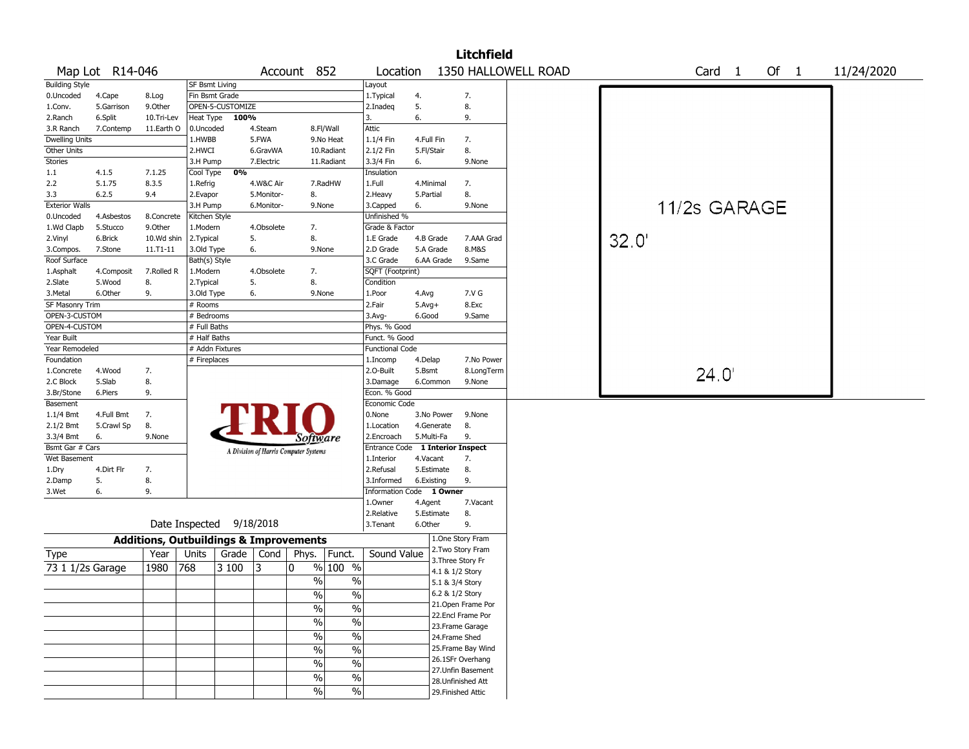|                        |                 |                                                   |                |                          |            |                                       |                          |                                  |            |                 | <b>Litchfield</b>  |                     |       |              |                   |  |      |            |  |
|------------------------|-----------------|---------------------------------------------------|----------------|--------------------------|------------|---------------------------------------|--------------------------|----------------------------------|------------|-----------------|--------------------|---------------------|-------|--------------|-------------------|--|------|------------|--|
|                        | Map Lot R14-046 |                                                   |                |                          |            | Account 852                           |                          | Location                         |            |                 |                    | 1350 HALLOWELL ROAD |       |              | Card <sub>1</sub> |  | Of 1 | 11/24/2020 |  |
| <b>Building Style</b>  |                 |                                                   | SF Bsmt Living |                          |            |                                       |                          | Layout                           |            |                 |                    |                     |       |              |                   |  |      |            |  |
| 0.Uncoded              | 4.Cape          | 8.Log                                             | Fin Bsmt Grade |                          |            |                                       |                          | 1.Typical                        | 4.         |                 | 7.                 |                     |       |              |                   |  |      |            |  |
| 1.Conv.                | 5.Garrison      | 9.Other                                           |                | OPEN-5-CUSTOMIZE         |            |                                       |                          | 2.Inadeg                         | 5.         |                 | 8.                 |                     |       |              |                   |  |      |            |  |
| 2.Ranch                | 6.Split         | 10.Tri-Lev                                        | Heat Type      | 100%                     |            |                                       |                          | 3.                               | 6.         |                 | 9.                 |                     |       |              |                   |  |      |            |  |
| 3.R Ranch              | 7.Contemp       | 11.Earth O                                        | 0.Uncoded      |                          | 4.Steam    |                                       | 8.Fl/Wall                | <b>Attic</b>                     |            |                 |                    |                     |       |              |                   |  |      |            |  |
| <b>Dwelling Units</b>  |                 |                                                   | 1.HWBB         |                          | 5.FWA      |                                       | 9.No Heat                | 1.1/4 Fin                        | 4.Full Fin |                 | 7.                 |                     |       |              |                   |  |      |            |  |
| Other Units            |                 |                                                   | 2.HWCI         |                          | 6.GravWA   |                                       | 10.Radiant               | 2.1/2 Fin                        | 5.Fl/Stair |                 | 8.                 |                     |       |              |                   |  |      |            |  |
| Stories                |                 |                                                   | 3.H Pump       |                          | 7.Electric |                                       | 11.Radiant               | 3.3/4 Fin                        | 6.         |                 | 9.None             |                     |       |              |                   |  |      |            |  |
| 1.1                    | 4.1.5           | 7.1.25                                            | Cool Type      | 0%                       |            |                                       |                          | Insulation                       |            |                 |                    |                     |       |              |                   |  |      |            |  |
| 2.2                    | 5.1.75          | 8.3.5                                             | 1.Refrig       |                          | 4.W&C Air  |                                       | 7.RadHW                  | 1.Full                           | 4.Minimal  |                 | 7.                 |                     |       |              |                   |  |      |            |  |
| 3.3                    | 6.2.5           | 9.4                                               | 2.Evapor       |                          | 5.Monitor- | 8.                                    |                          | 2. Heavy                         | 5.Partial  |                 | 8.                 |                     |       |              |                   |  |      |            |  |
| <b>Exterior Walls</b>  |                 |                                                   | 3.H Pump       |                          | 6.Monitor- | 9.None                                |                          | 3.Capped                         | 6.         |                 | 9.None             |                     |       | 11/2s GARAGE |                   |  |      |            |  |
| 0.Uncoded              | 4.Asbestos      | 8.Concrete                                        | Kitchen Style  |                          |            |                                       |                          | Unfinished %                     |            |                 |                    |                     |       |              |                   |  |      |            |  |
| 1.Wd Clapb             | 5.Stucco        | 9.Other                                           | 1.Modern       |                          | 4.Obsolete | 7.                                    |                          | Grade & Factor                   |            |                 |                    |                     |       |              |                   |  |      |            |  |
| 2.Vinyl                | 6.Brick         | 10.Wd shin                                        | 2. Typical     |                          | 5.         | 8.                                    |                          | 1.E Grade                        | 4.B Grade  |                 | 7.AAA Grad         |                     | 32.0' |              |                   |  |      |            |  |
| 3.Compos.              | 7.Stone         | $11.71 - 11$                                      | 3.Old Type     |                          | 6.         | 9.None                                |                          | 2.D Grade                        | 5.A Grade  |                 | 8.M&S              |                     |       |              |                   |  |      |            |  |
| Roof Surface           |                 |                                                   | Bath(s) Style  |                          |            |                                       |                          | 3.C Grade                        | 6.AA Grade |                 | 9.Same             |                     |       |              |                   |  |      |            |  |
| 1.Asphalt              | 4.Composit      | 7.Rolled R                                        | 1.Modern       |                          | 4.Obsolete | 7.                                    |                          | SQFT (Footprint)                 |            |                 |                    |                     |       |              |                   |  |      |            |  |
| 2.Slate                | 5.Wood          | 8.                                                | 2. Typical     |                          | 5.         | 8.                                    |                          | Condition                        |            |                 |                    |                     |       |              |                   |  |      |            |  |
| 3. Metal               | 6.Other         | 9.                                                | 3.Old Type     |                          | 6.         | 9.None                                |                          | 1.Poor                           | 4.Avg      |                 | 7.V G              |                     |       |              |                   |  |      |            |  |
| <b>SF Masonry Trim</b> |                 |                                                   | # Rooms        |                          |            |                                       |                          | 2.Fair                           | $5.Avg+$   |                 | 8.Exc              |                     |       |              |                   |  |      |            |  |
| OPEN-3-CUSTOM          |                 |                                                   | # Bedrooms     |                          |            |                                       |                          | $3.$ Avg-                        | 6.Good     |                 | 9.Same             |                     |       |              |                   |  |      |            |  |
| OPEN-4-CUSTOM          |                 |                                                   | # Full Baths   |                          |            |                                       |                          | Phys. % Good                     |            |                 |                    |                     |       |              |                   |  |      |            |  |
| Year Built             |                 |                                                   | # Half Baths   |                          |            |                                       |                          | Funct. % Good                    |            |                 |                    |                     |       |              |                   |  |      |            |  |
| Year Remodeled         |                 |                                                   |                | # Addn Fixtures          |            |                                       |                          | <b>Functional Code</b>           |            |                 |                    |                     |       |              |                   |  |      |            |  |
| Foundation             |                 |                                                   | # Fireplaces   |                          |            |                                       |                          | 1.Incomp                         | 4.Delap    |                 | 7.No Power         |                     |       |              |                   |  |      |            |  |
| 1.Concrete             | 4.Wood          | 7.                                                |                |                          |            |                                       |                          | 2.O-Built                        | 5.Bsmt     |                 | 8.LongTerm         |                     |       |              | 24.0'             |  |      |            |  |
| 2.C Block              | 5.Slab          | 8.                                                |                |                          |            |                                       |                          | 3.Damage                         | 6.Common   |                 | 9.None             |                     |       |              |                   |  |      |            |  |
| 3.Br/Stone             | 6.Piers         | 9.                                                |                |                          |            |                                       |                          | Econ. % Good                     |            |                 |                    |                     |       |              |                   |  |      |            |  |
| Basement               |                 |                                                   |                |                          |            |                                       |                          | Economic Code                    |            |                 |                    |                     |       |              |                   |  |      |            |  |
| 1.1/4 Bmt              | 4.Full Bmt      | 7.                                                |                |                          |            |                                       |                          | 0.None                           | 3.No Power |                 | 9.None             |                     |       |              |                   |  |      |            |  |
| 2.1/2 Bmt              | 5.Crawl Sp      | 8.                                                |                |                          |            |                                       |                          | 1.Location                       | 4.Generate |                 | 8.                 |                     |       |              |                   |  |      |            |  |
| 3.3/4 Bmt              | 6.              | 9.None                                            |                |                          |            | Software                              |                          | 2.Encroach                       | 5.Multi-Fa |                 | 9.                 |                     |       |              |                   |  |      |            |  |
| Bsmt Gar # Cars        |                 |                                                   |                |                          |            | A Division of Harris Computer Systems |                          | Entrance Code 1 Interior Inspect |            |                 |                    |                     |       |              |                   |  |      |            |  |
| Wet Basement           |                 |                                                   |                |                          |            |                                       |                          | 1.Interior                       | 4.Vacant   |                 | 7.                 |                     |       |              |                   |  |      |            |  |
| 1.Dry                  | 4.Dirt Flr      | 7.                                                |                |                          |            |                                       |                          | 2.Refusal                        | 5.Estimate |                 | 8.                 |                     |       |              |                   |  |      |            |  |
| 2.Damp                 | 5.              | 8.                                                |                |                          |            |                                       |                          | 3.Informed                       | 6.Existing |                 | 9.                 |                     |       |              |                   |  |      |            |  |
| 3.Wet                  | 6.              | 9.                                                |                |                          |            |                                       |                          | Information Code 1 Owner         |            |                 |                    |                     |       |              |                   |  |      |            |  |
|                        |                 |                                                   |                |                          |            |                                       |                          | 1.Owner                          | 4.Agent    |                 | 7.Vacant           |                     |       |              |                   |  |      |            |  |
|                        |                 |                                                   |                |                          |            |                                       |                          | 2.Relative                       | 5.Estimate |                 | 8.                 |                     |       |              |                   |  |      |            |  |
|                        |                 |                                                   |                | Date Inspected 9/18/2018 |            |                                       |                          | 3.Tenant                         | 6.Other    |                 | 9.                 |                     |       |              |                   |  |      |            |  |
|                        |                 | <b>Additions, Outbuildings &amp; Improvements</b> |                |                          |            |                                       |                          |                                  |            |                 | 1.One Story Fram   |                     |       |              |                   |  |      |            |  |
| Type                   |                 | Year                                              | Units          | Grade                    | Cond       | Phys.   Funct.                        |                          | Sound Value                      |            |                 | 2.Two Story Fram   |                     |       |              |                   |  |      |            |  |
| 73 1 1/2s Garage       |                 | 1980                                              | 768            | 3 100                    | 3          | 0                                     | % 100 %                  |                                  |            |                 | 3.Three Story Fr   |                     |       |              |                   |  |      |            |  |
|                        |                 |                                                   |                |                          |            |                                       |                          |                                  |            | 4.1 & 1/2 Story |                    |                     |       |              |                   |  |      |            |  |
|                        |                 |                                                   |                |                          |            | $\frac{0}{0}$                         | %                        |                                  |            | 5.1 & 3/4 Story |                    |                     |       |              |                   |  |      |            |  |
|                        |                 |                                                   |                |                          |            | $\frac{9}{6}$                         | $\%$                     |                                  |            |                 | 6.2 & 1/2 Story    |                     |       |              |                   |  |      |            |  |
|                        |                 |                                                   |                |                          |            | $\%$                                  | $\%$                     |                                  |            |                 | 21. Open Frame Por |                     |       |              |                   |  |      |            |  |
|                        |                 |                                                   |                |                          |            |                                       |                          |                                  |            |                 | 22.Encl Frame Por  |                     |       |              |                   |  |      |            |  |
|                        |                 |                                                   |                |                          |            | $\frac{9}{6}$                         | $\%$                     |                                  |            |                 | 23. Frame Garage   |                     |       |              |                   |  |      |            |  |
|                        |                 |                                                   |                |                          |            | $\frac{9}{6}$                         | $\overline{\frac{0}{0}}$ |                                  |            |                 | 24.Frame Shed      |                     |       |              |                   |  |      |            |  |
|                        |                 |                                                   |                |                          |            | $\frac{9}{6}$                         | $\overline{\frac{0}{0}}$ |                                  |            |                 | 25.Frame Bay Wind  |                     |       |              |                   |  |      |            |  |
|                        |                 |                                                   |                |                          |            | $\sqrt{20}$                           | $\overline{\frac{0}{6}}$ |                                  |            |                 | 26.1SFr Overhang   |                     |       |              |                   |  |      |            |  |
|                        |                 |                                                   |                |                          |            |                                       |                          |                                  |            |                 | 27.Unfin Basement  |                     |       |              |                   |  |      |            |  |
|                        |                 |                                                   |                |                          |            | $\frac{9}{6}$                         | $\overline{\frac{0}{0}}$ |                                  |            |                 | 28. Unfinished Att |                     |       |              |                   |  |      |            |  |
|                        |                 |                                                   |                |                          |            | $\frac{9}{6}$                         | $\sqrt{6}$               |                                  |            |                 | 29. Finished Attic |                     |       |              |                   |  |      |            |  |
|                        |                 |                                                   |                |                          |            |                                       |                          |                                  |            |                 |                    |                     |       |              |                   |  |      |            |  |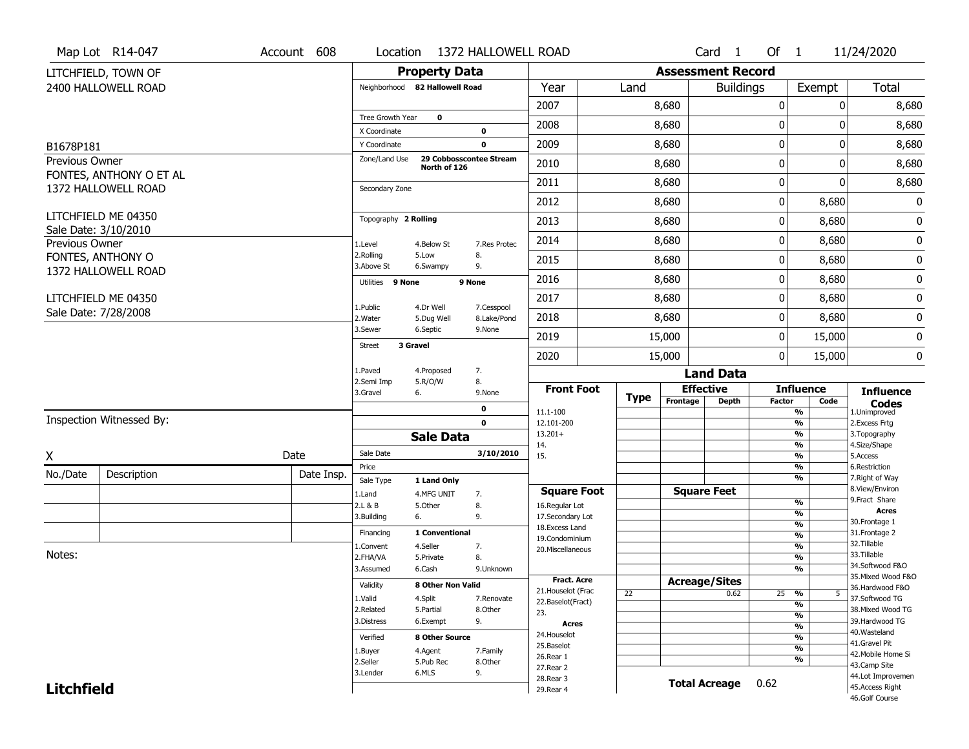| <b>Assessment Record</b><br><b>Property Data</b><br>LITCHFIELD, TOWN OF<br><b>Total</b><br>2400 HALLOWELL ROAD<br>Neighborhood 82 Hallowell Road<br><b>Buildings</b><br>Year<br>Land<br>Exempt<br>2007<br>0<br>8,680<br>0<br>8,680<br>Tree Growth Year<br>$\mathbf 0$<br>$\mathbf 0$<br>2008<br>0<br>8,680<br>8,680<br>X Coordinate<br>0<br>0<br>2009<br>8,680<br>0<br>8,680<br>Y Coordinate<br>$\mathbf 0$<br>B1678P181<br>29 Cobbosscontee Stream<br>Zone/Land Use<br><b>Previous Owner</b><br>$\mathbf{0}$<br>2010<br>8,680<br>8,680<br>0<br>North of 126<br>FONTES, ANTHONY O ET AL<br>0<br>2011<br>8,680<br>0<br>8,680<br>1372 HALLOWELL ROAD<br>Secondary Zone<br>$\pmb{0}$<br>0<br>8,680<br>8,680<br>2012<br>LITCHFIELD ME 04350<br>Topography 2 Rolling<br>0<br>2013<br>8,680<br>8,680<br>0<br>Sale Date: 3/10/2010<br>$\mathbf 0$<br>0<br>2014<br>8,680<br>8,680<br><b>Previous Owner</b><br>1.Level<br>4.Below St<br>7.Res Protec<br>2.Rolling<br>5.Low<br>8.<br>FONTES, ANTHONY O<br>0<br>2015<br>8,680<br>8,680<br>0<br>3.Above St<br>9.<br>6.Swampy<br>1372 HALLOWELL ROAD<br>0<br>8,680<br>0<br>2016<br>8,680<br>Utilities 9 None<br>9 None<br>0<br>2017<br>8,680<br>8,680<br>0<br>LITCHFIELD ME 04350<br>1.Public<br>4.Dr Well<br>7.Cesspool<br>Sale Date: 7/28/2008<br>0<br>2018<br>8,680<br>8,680<br>0<br>2. Water<br>8.Lake/Pond<br>5.Dug Well<br>3.Sewer<br>6.Septic<br>9.None<br>0<br>2019<br>15,000<br>15,000<br>0<br>3 Gravel<br>Street<br>$\mathbf{0}$<br>2020<br>15,000<br>0<br>15,000<br>1.Paved<br>4.Proposed<br>7.<br><b>Land Data</b> |
|-------------------------------------------------------------------------------------------------------------------------------------------------------------------------------------------------------------------------------------------------------------------------------------------------------------------------------------------------------------------------------------------------------------------------------------------------------------------------------------------------------------------------------------------------------------------------------------------------------------------------------------------------------------------------------------------------------------------------------------------------------------------------------------------------------------------------------------------------------------------------------------------------------------------------------------------------------------------------------------------------------------------------------------------------------------------------------------------------------------------------------------------------------------------------------------------------------------------------------------------------------------------------------------------------------------------------------------------------------------------------------------------------------------------------------------------------------------------------------------------------------------------------------------------------------------------|
|                                                                                                                                                                                                                                                                                                                                                                                                                                                                                                                                                                                                                                                                                                                                                                                                                                                                                                                                                                                                                                                                                                                                                                                                                                                                                                                                                                                                                                                                                                                                                                   |
|                                                                                                                                                                                                                                                                                                                                                                                                                                                                                                                                                                                                                                                                                                                                                                                                                                                                                                                                                                                                                                                                                                                                                                                                                                                                                                                                                                                                                                                                                                                                                                   |
|                                                                                                                                                                                                                                                                                                                                                                                                                                                                                                                                                                                                                                                                                                                                                                                                                                                                                                                                                                                                                                                                                                                                                                                                                                                                                                                                                                                                                                                                                                                                                                   |
|                                                                                                                                                                                                                                                                                                                                                                                                                                                                                                                                                                                                                                                                                                                                                                                                                                                                                                                                                                                                                                                                                                                                                                                                                                                                                                                                                                                                                                                                                                                                                                   |
|                                                                                                                                                                                                                                                                                                                                                                                                                                                                                                                                                                                                                                                                                                                                                                                                                                                                                                                                                                                                                                                                                                                                                                                                                                                                                                                                                                                                                                                                                                                                                                   |
|                                                                                                                                                                                                                                                                                                                                                                                                                                                                                                                                                                                                                                                                                                                                                                                                                                                                                                                                                                                                                                                                                                                                                                                                                                                                                                                                                                                                                                                                                                                                                                   |
|                                                                                                                                                                                                                                                                                                                                                                                                                                                                                                                                                                                                                                                                                                                                                                                                                                                                                                                                                                                                                                                                                                                                                                                                                                                                                                                                                                                                                                                                                                                                                                   |
|                                                                                                                                                                                                                                                                                                                                                                                                                                                                                                                                                                                                                                                                                                                                                                                                                                                                                                                                                                                                                                                                                                                                                                                                                                                                                                                                                                                                                                                                                                                                                                   |
|                                                                                                                                                                                                                                                                                                                                                                                                                                                                                                                                                                                                                                                                                                                                                                                                                                                                                                                                                                                                                                                                                                                                                                                                                                                                                                                                                                                                                                                                                                                                                                   |
|                                                                                                                                                                                                                                                                                                                                                                                                                                                                                                                                                                                                                                                                                                                                                                                                                                                                                                                                                                                                                                                                                                                                                                                                                                                                                                                                                                                                                                                                                                                                                                   |
|                                                                                                                                                                                                                                                                                                                                                                                                                                                                                                                                                                                                                                                                                                                                                                                                                                                                                                                                                                                                                                                                                                                                                                                                                                                                                                                                                                                                                                                                                                                                                                   |
|                                                                                                                                                                                                                                                                                                                                                                                                                                                                                                                                                                                                                                                                                                                                                                                                                                                                                                                                                                                                                                                                                                                                                                                                                                                                                                                                                                                                                                                                                                                                                                   |
|                                                                                                                                                                                                                                                                                                                                                                                                                                                                                                                                                                                                                                                                                                                                                                                                                                                                                                                                                                                                                                                                                                                                                                                                                                                                                                                                                                                                                                                                                                                                                                   |
|                                                                                                                                                                                                                                                                                                                                                                                                                                                                                                                                                                                                                                                                                                                                                                                                                                                                                                                                                                                                                                                                                                                                                                                                                                                                                                                                                                                                                                                                                                                                                                   |
|                                                                                                                                                                                                                                                                                                                                                                                                                                                                                                                                                                                                                                                                                                                                                                                                                                                                                                                                                                                                                                                                                                                                                                                                                                                                                                                                                                                                                                                                                                                                                                   |
|                                                                                                                                                                                                                                                                                                                                                                                                                                                                                                                                                                                                                                                                                                                                                                                                                                                                                                                                                                                                                                                                                                                                                                                                                                                                                                                                                                                                                                                                                                                                                                   |
|                                                                                                                                                                                                                                                                                                                                                                                                                                                                                                                                                                                                                                                                                                                                                                                                                                                                                                                                                                                                                                                                                                                                                                                                                                                                                                                                                                                                                                                                                                                                                                   |
|                                                                                                                                                                                                                                                                                                                                                                                                                                                                                                                                                                                                                                                                                                                                                                                                                                                                                                                                                                                                                                                                                                                                                                                                                                                                                                                                                                                                                                                                                                                                                                   |
| 2.Semi Imp<br>5.R/O/W<br>8.<br><b>Front Foot</b><br><b>Effective</b><br><b>Influence</b><br><b>Influence</b><br>3.Gravel<br>6.<br>9.None                                                                                                                                                                                                                                                                                                                                                                                                                                                                                                                                                                                                                                                                                                                                                                                                                                                                                                                                                                                                                                                                                                                                                                                                                                                                                                                                                                                                                          |
| <b>Type</b><br>Frontage<br><b>Depth</b><br><b>Factor</b><br>Code<br><b>Codes</b><br>0<br>$\frac{9}{6}$<br>11.1-100<br>1.Unimproved                                                                                                                                                                                                                                                                                                                                                                                                                                                                                                                                                                                                                                                                                                                                                                                                                                                                                                                                                                                                                                                                                                                                                                                                                                                                                                                                                                                                                                |
| Inspection Witnessed By:<br>$\mathbf 0$<br>$\frac{9}{6}$<br>12.101-200<br>2. Excess Frtg                                                                                                                                                                                                                                                                                                                                                                                                                                                                                                                                                                                                                                                                                                                                                                                                                                                                                                                                                                                                                                                                                                                                                                                                                                                                                                                                                                                                                                                                          |
| $\frac{9}{6}$<br>$13.201+$<br>3. Topography<br><b>Sale Data</b><br>$\frac{9}{6}$<br>14.<br>4.Size/Shape                                                                                                                                                                                                                                                                                                                                                                                                                                                                                                                                                                                                                                                                                                                                                                                                                                                                                                                                                                                                                                                                                                                                                                                                                                                                                                                                                                                                                                                           |
| Sale Date<br>3/10/2010<br>Date<br>X<br>15.<br>$\frac{9}{6}$<br>5.Access                                                                                                                                                                                                                                                                                                                                                                                                                                                                                                                                                                                                                                                                                                                                                                                                                                                                                                                                                                                                                                                                                                                                                                                                                                                                                                                                                                                                                                                                                           |
| $\frac{9}{6}$<br>6.Restriction<br>Price<br>Description<br>No./Date<br>Date Insp.<br>$\frac{9}{6}$<br>7. Right of Way<br>Sale Type<br>1 Land Only                                                                                                                                                                                                                                                                                                                                                                                                                                                                                                                                                                                                                                                                                                                                                                                                                                                                                                                                                                                                                                                                                                                                                                                                                                                                                                                                                                                                                  |
| 8.View/Environ<br><b>Square Feet</b><br><b>Square Foot</b><br>7.<br>1.Land<br>4.MFG UNIT                                                                                                                                                                                                                                                                                                                                                                                                                                                                                                                                                                                                                                                                                                                                                                                                                                                                                                                                                                                                                                                                                                                                                                                                                                                                                                                                                                                                                                                                          |
| 9.Fract Share<br>$\frac{9}{6}$<br>2.L & B<br>8.<br>5.Other<br>16.Regular Lot<br><b>Acres</b>                                                                                                                                                                                                                                                                                                                                                                                                                                                                                                                                                                                                                                                                                                                                                                                                                                                                                                                                                                                                                                                                                                                                                                                                                                                                                                                                                                                                                                                                      |
| %<br>3.Building<br>9.<br>17.Secondary Lot<br>6.<br>30. Frontage 1<br>$\frac{9}{6}$<br>18. Excess Land                                                                                                                                                                                                                                                                                                                                                                                                                                                                                                                                                                                                                                                                                                                                                                                                                                                                                                                                                                                                                                                                                                                                                                                                                                                                                                                                                                                                                                                             |
| 1 Conventional<br>31. Frontage 2<br>Financing<br>%<br>19.Condominium                                                                                                                                                                                                                                                                                                                                                                                                                                                                                                                                                                                                                                                                                                                                                                                                                                                                                                                                                                                                                                                                                                                                                                                                                                                                                                                                                                                                                                                                                              |
| 32.Tillable<br>4.Seller<br>%<br>7.<br>1.Convent<br>20.Miscellaneous                                                                                                                                                                                                                                                                                                                                                                                                                                                                                                                                                                                                                                                                                                                                                                                                                                                                                                                                                                                                                                                                                                                                                                                                                                                                                                                                                                                                                                                                                               |
| Notes:<br>33.Tillable<br>2.FHA/VA<br>8.<br>%<br>5.Private<br>34.Softwood F&O                                                                                                                                                                                                                                                                                                                                                                                                                                                                                                                                                                                                                                                                                                                                                                                                                                                                                                                                                                                                                                                                                                                                                                                                                                                                                                                                                                                                                                                                                      |
| $\%$<br>3.Assumed<br>6.Cash<br>9.Unknown<br>35. Mixed Wood F&O<br>Fract. Acre                                                                                                                                                                                                                                                                                                                                                                                                                                                                                                                                                                                                                                                                                                                                                                                                                                                                                                                                                                                                                                                                                                                                                                                                                                                                                                                                                                                                                                                                                     |
| <b>Acreage/Sites</b><br>Validity<br>8 Other Non Valid<br>36.Hardwood F&O<br>21. Houselot (Frac<br>$25 - 96$                                                                                                                                                                                                                                                                                                                                                                                                                                                                                                                                                                                                                                                                                                                                                                                                                                                                                                                                                                                                                                                                                                                                                                                                                                                                                                                                                                                                                                                       |
| 22<br>0.62<br>5<br>37.Softwood TG<br>1.Valid<br>4.Split<br>7.Renovate<br>22.Baselot(Fract)<br>$\frac{9}{6}$                                                                                                                                                                                                                                                                                                                                                                                                                                                                                                                                                                                                                                                                                                                                                                                                                                                                                                                                                                                                                                                                                                                                                                                                                                                                                                                                                                                                                                                       |
| 2.Related<br>5.Partial<br>38. Mixed Wood TG<br>8.Other<br>23.<br>$\overline{\frac{9}{6}}$                                                                                                                                                                                                                                                                                                                                                                                                                                                                                                                                                                                                                                                                                                                                                                                                                                                                                                                                                                                                                                                                                                                                                                                                                                                                                                                                                                                                                                                                         |
| 9.<br>39.Hardwood TG<br>3.Distress<br>6.Exempt<br>Acres<br>$\frac{9}{6}$                                                                                                                                                                                                                                                                                                                                                                                                                                                                                                                                                                                                                                                                                                                                                                                                                                                                                                                                                                                                                                                                                                                                                                                                                                                                                                                                                                                                                                                                                          |
| 40. Wasteland<br>24. Houselot<br>$\frac{9}{6}$<br>8 Other Source<br>Verified<br>41.Gravel Pit                                                                                                                                                                                                                                                                                                                                                                                                                                                                                                                                                                                                                                                                                                                                                                                                                                                                                                                                                                                                                                                                                                                                                                                                                                                                                                                                                                                                                                                                     |
| 25.Baselot<br>$\frac{9}{6}$<br>1.Buyer<br>4.Agent<br>7.Family<br>42. Mobile Home Si                                                                                                                                                                                                                                                                                                                                                                                                                                                                                                                                                                                                                                                                                                                                                                                                                                                                                                                                                                                                                                                                                                                                                                                                                                                                                                                                                                                                                                                                               |
| 26.Rear 1<br>$\frac{9}{6}$<br>2.Seller<br>5.Pub Rec<br>8.0ther<br>43.Camp Site<br>27. Rear 2                                                                                                                                                                                                                                                                                                                                                                                                                                                                                                                                                                                                                                                                                                                                                                                                                                                                                                                                                                                                                                                                                                                                                                                                                                                                                                                                                                                                                                                                      |
| 6.MLS<br>9.<br>3.Lender<br>44.Lot Improvemen<br>28.Rear 3                                                                                                                                                                                                                                                                                                                                                                                                                                                                                                                                                                                                                                                                                                                                                                                                                                                                                                                                                                                                                                                                                                                                                                                                                                                                                                                                                                                                                                                                                                         |
| <b>Total Acreage</b><br>0.62<br><b>Litchfield</b><br>45.Access Right<br>29. Rear 4<br>46.Golf Course                                                                                                                                                                                                                                                                                                                                                                                                                                                                                                                                                                                                                                                                                                                                                                                                                                                                                                                                                                                                                                                                                                                                                                                                                                                                                                                                                                                                                                                              |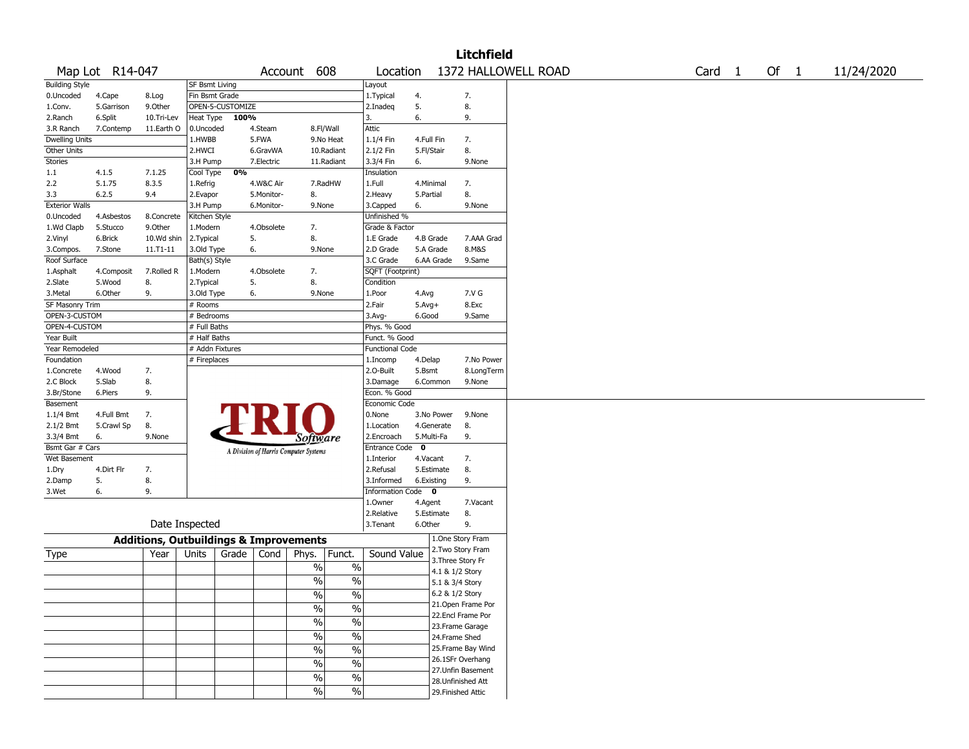|                       |                 |                                                   |                       |                  |            |                                       |               |                        |             |            | <b>Litchfield</b>  |                     |  |                   |        |            |
|-----------------------|-----------------|---------------------------------------------------|-----------------------|------------------|------------|---------------------------------------|---------------|------------------------|-------------|------------|--------------------|---------------------|--|-------------------|--------|------------|
|                       | Map Lot R14-047 |                                                   |                       |                  |            | Account 608                           |               | Location               |             |            |                    | 1372 HALLOWELL ROAD |  | Card <sub>1</sub> | Of $1$ | 11/24/2020 |
| <b>Building Style</b> |                 |                                                   | <b>SF Bsmt Living</b> |                  |            |                                       |               | Layout                 |             |            |                    |                     |  |                   |        |            |
| 0.Uncoded             | 4.Cape          | 8.Log                                             | Fin Bsmt Grade        |                  |            |                                       |               | 1. Typical             | 4.          |            | 7.                 |                     |  |                   |        |            |
| 1.Conv.               | 5.Garrison      | 9.0ther                                           |                       | OPEN-5-CUSTOMIZE |            |                                       |               | 2.Inadeg               | 5.          |            | 8.                 |                     |  |                   |        |            |
| 2.Ranch               | 6.Split         | 10.Tri-Lev                                        | Heat Type             | 100%             |            |                                       |               | 3.                     | 6.          |            | 9.                 |                     |  |                   |        |            |
| 3.R Ranch             | 7.Contemp       | 11.Earth O                                        | 0.Uncoded             |                  | 4.Steam    | 8.Fl/Wall                             |               | Attic                  |             |            |                    |                     |  |                   |        |            |
| <b>Dwelling Units</b> |                 |                                                   | 1.HWBB                |                  | 5.FWA      |                                       | 9.No Heat     | 1.1/4 Fin              | 4.Full Fin  |            | 7.                 |                     |  |                   |        |            |
| Other Units           |                 |                                                   | 2.HWCI                |                  | 6.GravWA   |                                       | 10.Radiant    | 2.1/2 Fin              | 5.Fl/Stair  |            | 8.                 |                     |  |                   |        |            |
| Stories               |                 |                                                   | 3.H Pump              |                  | 7.Electric |                                       | 11.Radiant    | 3.3/4 Fin              | 6.          |            | 9.None             |                     |  |                   |        |            |
| 1.1                   | 4.1.5           | 7.1.25                                            | Cool Type             | 0%               |            |                                       |               | Insulation             |             |            |                    |                     |  |                   |        |            |
| 2.2                   | 5.1.75          | 8.3.5                                             | 1.Refrig              |                  | 4.W&C Air  |                                       | 7.RadHW       | 1.Full                 | 4.Minimal   |            | 7.                 |                     |  |                   |        |            |
| 3.3                   | 6.2.5           | 9.4                                               | 2.Evapor              |                  | 5.Monitor- | 8.                                    |               | 2.Heavy                | 5.Partial   |            | 8.                 |                     |  |                   |        |            |
| <b>Exterior Walls</b> |                 |                                                   | 3.H Pump              |                  | 6.Monitor- | 9.None                                |               | 3.Capped               | 6.          |            | 9.None             |                     |  |                   |        |            |
| 0.Uncoded             | 4.Asbestos      | 8.Concrete                                        | Kitchen Style         |                  |            |                                       |               | Unfinished %           |             |            |                    |                     |  |                   |        |            |
| 1.Wd Clapb            | 5.Stucco        | 9.0ther                                           | 1.Modern              |                  | 4.Obsolete | 7.                                    |               | Grade & Factor         |             |            |                    |                     |  |                   |        |            |
| 2.Vinyl               | 6.Brick         | 10.Wd shin                                        | 2. Typical            | 5.               |            | 8.                                    |               | 1.E Grade              | 4.B Grade   |            | 7.AAA Grad         |                     |  |                   |        |            |
| 3.Compos.             | 7.Stone         | 11.T1-11                                          | 3.Old Type            | 6.               |            | 9.None                                |               | 2.D Grade              |             | 5.A Grade  | 8.M&S              |                     |  |                   |        |            |
| Roof Surface          |                 |                                                   | Bath(s) Style         |                  |            |                                       |               | 3.C Grade              |             | 6.AA Grade | 9.Same             |                     |  |                   |        |            |
| 1.Asphalt             | 4.Composit      | 7.Rolled R                                        | 1.Modern              |                  | 4.Obsolete | 7.                                    |               | SQFT (Footprint)       |             |            |                    |                     |  |                   |        |            |
| 2.Slate               | 5.Wood          | 8.                                                | 2. Typical            | 5.               |            | 8.                                    |               | Condition              |             |            |                    |                     |  |                   |        |            |
| 3.Metal               | 6.Other         | 9.                                                | 3.Old Type            | 6.               |            | 9.None                                |               | 1.Poor                 | 4.Avg       |            | 7.V G              |                     |  |                   |        |            |
| SF Masonry Trim       |                 |                                                   | # Rooms               |                  |            |                                       |               | 2.Fair                 | $5.Avg+$    |            | 8.Exc              |                     |  |                   |        |            |
| OPEN-3-CUSTOM         |                 |                                                   | # Bedrooms            |                  |            |                                       |               | 3.Avg-                 | 6.Good      |            | 9.Same             |                     |  |                   |        |            |
| OPEN-4-CUSTOM         |                 |                                                   | # Full Baths          |                  |            |                                       |               | Phys. % Good           |             |            |                    |                     |  |                   |        |            |
| Year Built            |                 |                                                   | # Half Baths          |                  |            |                                       |               | Funct. % Good          |             |            |                    |                     |  |                   |        |            |
| Year Remodeled        |                 |                                                   | # Addn Fixtures       |                  |            |                                       |               | <b>Functional Code</b> |             |            |                    |                     |  |                   |        |            |
| Foundation            |                 |                                                   | # Fireplaces          |                  |            |                                       |               | 1.Incomp               | 4.Delap     |            | 7.No Power         |                     |  |                   |        |            |
| 1.Concrete            | 4.Wood          | 7.                                                |                       |                  |            |                                       |               | 2.O-Built              | 5.Bsmt      |            | 8.LongTerm         |                     |  |                   |        |            |
| 2.C Block             | 5.Slab          | 8.                                                |                       |                  |            |                                       |               | 3.Damage               |             | 6.Common   | 9.None             |                     |  |                   |        |            |
| 3.Br/Stone            | 6.Piers         | 9.                                                |                       |                  |            |                                       |               | Econ. % Good           |             |            |                    |                     |  |                   |        |            |
| Basement              |                 |                                                   |                       |                  |            |                                       |               | Economic Code          |             |            |                    |                     |  |                   |        |            |
| $1.1/4$ Bmt           | 4.Full Bmt      | 7.                                                |                       |                  |            |                                       |               | 0.None                 |             | 3.No Power | 9.None             |                     |  |                   |        |            |
| 2.1/2 Bmt             | 5.Crawl Sp      | 8.                                                |                       |                  |            |                                       |               | 1.Location             |             | 4.Generate | 8.                 |                     |  |                   |        |            |
| 3.3/4 Bmt             | 6.              | 9.None                                            |                       |                  |            | Software                              |               | 2.Encroach             | 5.Multi-Fa  |            | 9.                 |                     |  |                   |        |            |
| Bsmt Gar # Cars       |                 |                                                   |                       |                  |            |                                       |               | Entrance Code          | $\mathbf 0$ |            |                    |                     |  |                   |        |            |
| Wet Basement          |                 |                                                   |                       |                  |            | A Division of Harris Computer Systems |               | 1.Interior             | 4.Vacant    |            | 7.                 |                     |  |                   |        |            |
| 1.Dry                 | 4.Dirt Flr      | 7.                                                |                       |                  |            |                                       |               | 2.Refusal              |             | 5.Estimate | 8.                 |                     |  |                   |        |            |
| 2.Damp                | 5.              | 8.                                                |                       |                  |            |                                       |               | 3.Informed             | 6.Existing  |            | 9.                 |                     |  |                   |        |            |
| 3.Wet                 | 6.              | 9.                                                |                       |                  |            |                                       |               | Information Code 0     |             |            |                    |                     |  |                   |        |            |
|                       |                 |                                                   |                       |                  |            |                                       |               | 1.0wner                | 4.Agent     |            | 7.Vacant           |                     |  |                   |        |            |
|                       |                 |                                                   |                       |                  |            |                                       |               | 2.Relative             |             | 5.Estimate | 8.                 |                     |  |                   |        |            |
|                       |                 | Date Inspected                                    |                       |                  |            |                                       |               | 3. Tenant              | 6.Other     |            | 9.                 |                     |  |                   |        |            |
|                       |                 | <b>Additions, Outbuildings &amp; Improvements</b> |                       |                  |            |                                       |               |                        |             |            | 1.One Story Fram   |                     |  |                   |        |            |
|                       |                 |                                                   |                       |                  |            |                                       |               |                        |             |            | 2. Two Story Fram  |                     |  |                   |        |            |
| Type                  |                 | Year                                              | Units                 | Grade            | Cond       | Phys.                                 | Funct.        | Sound Value            |             |            | 3. Three Story Fr  |                     |  |                   |        |            |
|                       |                 |                                                   |                       |                  |            | $\%$                                  | $\%$          |                        |             |            | 4.1 & 1/2 Story    |                     |  |                   |        |            |
|                       |                 |                                                   |                       |                  |            | $\frac{0}{0}$                         | $\%$          |                        |             |            | 5.1 & 3/4 Story    |                     |  |                   |        |            |
|                       |                 |                                                   |                       |                  |            | %                                     | $\%$          |                        |             |            | 6.2 & 1/2 Story    |                     |  |                   |        |            |
|                       |                 |                                                   |                       |                  |            |                                       |               |                        |             |            | 21. Open Frame Por |                     |  |                   |        |            |
|                       |                 |                                                   |                       |                  |            | $\frac{0}{6}$                         | $\frac{1}{2}$ |                        |             |            | 22.Encl Frame Por  |                     |  |                   |        |            |
|                       |                 |                                                   |                       |                  |            | $\frac{1}{2}$                         | $\frac{1}{2}$ |                        |             |            | 23. Frame Garage   |                     |  |                   |        |            |
|                       |                 |                                                   |                       |                  |            | $\%$                                  | $\frac{1}{2}$ |                        |             |            | 24.Frame Shed      |                     |  |                   |        |            |
|                       |                 |                                                   |                       |                  |            | $\%$                                  | $\%$          |                        |             |            | 25. Frame Bay Wind |                     |  |                   |        |            |
|                       |                 |                                                   |                       |                  |            |                                       |               |                        |             |            | 26.1SFr Overhang   |                     |  |                   |        |            |
|                       |                 |                                                   |                       |                  |            | $\frac{0}{0}$                         | $\%$          |                        |             |            | 27. Unfin Basement |                     |  |                   |        |            |
|                       |                 |                                                   |                       |                  |            | $\%$                                  | $\%$          |                        |             |            | 28. Unfinished Att |                     |  |                   |        |            |
|                       |                 |                                                   |                       |                  |            | $\%$                                  | $\%$          |                        |             |            | 29. Finished Attic |                     |  |                   |        |            |
|                       |                 |                                                   |                       |                  |            |                                       |               |                        |             |            |                    |                     |  |                   |        |            |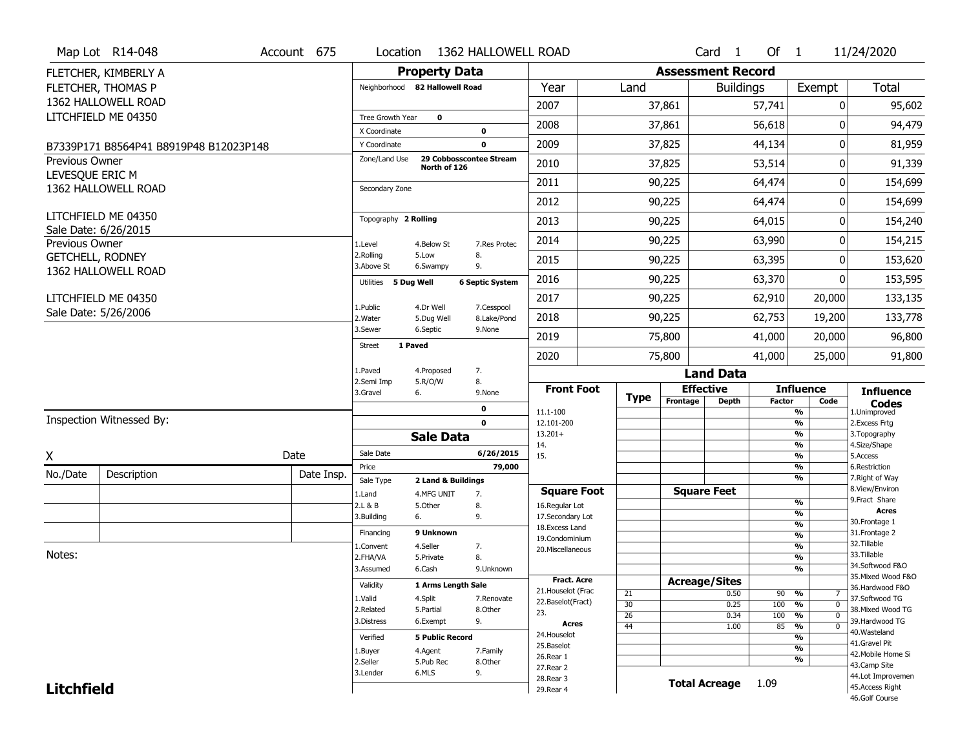| <b>Property Data</b><br><b>Assessment Record</b><br>FLETCHER, KIMBERLY A<br>Total<br>Land<br>Exempt<br>FLETCHER, THOMAS P<br>Neighborhood 82 Hallowell Road<br>Year<br><b>Buildings</b><br>1362 HALLOWELL ROAD<br>2007<br>37,861<br>57,741<br>0<br>95,602<br>LITCHFIELD ME 04350<br>Tree Growth Year<br>$\mathbf 0$<br>2008<br>56,618<br>94,479<br>37,861<br>0<br>X Coordinate<br>$\mathbf 0$<br>2009<br>37,825<br>44,134<br>0<br>81,959<br>$\mathbf 0$<br>Y Coordinate<br>B7339P171 B8564P41 B8919P48 B12023P148<br>Zone/Land Use<br>29 Cobbosscontee Stream<br>Previous Owner<br>2010<br>37,825<br>53,514<br>0<br>91,339<br>North of 126<br>LEVESQUE ERIC M<br>2011<br>90,225<br>64,474<br>0<br>154,699<br>1362 HALLOWELL ROAD<br>Secondary Zone<br>2012<br>0<br>154,699<br>90,225<br>64,474<br>LITCHFIELD ME 04350<br>Topography 2 Rolling<br>2013<br>90,225<br>64,015<br>0<br>154,240<br>Sale Date: 6/26/2015<br>2014<br>90,225<br>63,990<br>0<br>154,215<br>Previous Owner<br>1.Level<br>7.Res Protec<br>4.Below St<br>2.Rolling<br>5.Low<br>8.<br><b>GETCHELL, RODNEY</b><br>2015<br>90,225<br>63,395<br>0<br>153,620<br>3.Above St<br>9.<br>6.Swampy<br>1362 HALLOWELL ROAD<br>2016<br>63,370<br>0<br>153,595<br>90,225<br>Utilities 5 Dug Well<br><b>6 Septic System</b><br>2017<br>90,225<br>62,910<br>20,000<br>LITCHFIELD ME 04350<br>133,135<br>7.Cesspool<br>1.Public<br>4.Dr Well<br>Sale Date: 5/26/2006<br>2018<br>90,225<br>62,753<br>19,200<br>133,778<br>2. Water<br>5.Dug Well<br>8.Lake/Pond<br>3.Sewer<br>6.Septic<br>9.None<br>2019<br>75,800<br>41,000<br>20,000<br>1 Paved<br>Street<br>2020<br>75,800<br>41,000<br>25,000<br>91,800<br>1.Paved<br>4.Proposed<br>7.<br><b>Land Data</b><br>8.<br>2.Semi Imp<br>5.R/O/W<br><b>Front Foot</b><br><b>Effective</b><br><b>Influence</b><br><b>Influence</b><br>3.Gravel<br>6.<br>9.None<br><b>Type</b><br>Frontage<br><b>Depth</b><br><b>Factor</b><br>Code<br><b>Codes</b><br>0<br>11.1-100<br>%<br>1.Unimproved<br>Inspection Witnessed By:<br>$\mathbf 0$<br>$\frac{9}{6}$<br>12.101-200<br>2. Excess Frtg<br>$13.201+$<br>%<br>3. Topography<br><b>Sale Data</b><br>4.Size/Shape<br>%<br>14.<br>Sale Date<br>6/26/2015<br>Date<br>Χ<br>15.<br>$\frac{9}{6}$<br>5.Access<br>Price<br>79,000<br>%<br>6.Restriction<br>No./Date<br>Description<br>Date Insp.<br>%<br>7. Right of Way<br>Sale Type<br>2 Land & Buildings<br>8.View/Environ<br><b>Square Foot</b><br><b>Square Feet</b><br>1.Land<br>4.MFG UNIT<br>7.<br>9. Fract Share<br>$\frac{9}{6}$<br>2.L & B<br>5.Other<br>8.<br>16.Regular Lot<br><b>Acres</b><br>$\frac{9}{6}$<br>3.Building<br>9.<br>17.Secondary Lot<br>6.<br>30. Frontage 1<br>$\overline{\frac{9}{6}}$<br>18.Excess Land<br>9 Unknown<br>31. Frontage 2<br>Financing<br>$\frac{9}{6}$<br>19.Condominium<br>32.Tillable<br>4.Seller<br>$\frac{9}{6}$<br>7.<br>1.Convent<br>20.Miscellaneous<br>Notes:<br>33.Tillable<br>8.<br>$\frac{9}{6}$<br>2.FHA/VA<br>5.Private<br>34.Softwood F&O<br>$\overline{\frac{9}{6}}$<br>3.Assumed<br>6.Cash<br>9.Unknown<br>35. Mixed Wood F&O<br>Fract. Acre<br><b>Acreage/Sites</b> | Map Lot R14-048 | Account 675 | Location | 1362 HALLOWELL ROAD |  | Card <sub>1</sub> | Of $1$ | 11/24/2020 |
|----------------------------------------------------------------------------------------------------------------------------------------------------------------------------------------------------------------------------------------------------------------------------------------------------------------------------------------------------------------------------------------------------------------------------------------------------------------------------------------------------------------------------------------------------------------------------------------------------------------------------------------------------------------------------------------------------------------------------------------------------------------------------------------------------------------------------------------------------------------------------------------------------------------------------------------------------------------------------------------------------------------------------------------------------------------------------------------------------------------------------------------------------------------------------------------------------------------------------------------------------------------------------------------------------------------------------------------------------------------------------------------------------------------------------------------------------------------------------------------------------------------------------------------------------------------------------------------------------------------------------------------------------------------------------------------------------------------------------------------------------------------------------------------------------------------------------------------------------------------------------------------------------------------------------------------------------------------------------------------------------------------------------------------------------------------------------------------------------------------------------------------------------------------------------------------------------------------------------------------------------------------------------------------------------------------------------------------------------------------------------------------------------------------------------------------------------------------------------------------------------------------------------------------------------------------------------------------------------------------------------------------------------------------------------------------------------------------------------------------------------------------------------------------------------------------------------------------------------------------------------------------------------------------------------------------------------------------------------------------------------------------------------------------------------------------------------------------------------------------------|-----------------|-------------|----------|---------------------|--|-------------------|--------|------------|
|                                                                                                                                                                                                                                                                                                                                                                                                                                                                                                                                                                                                                                                                                                                                                                                                                                                                                                                                                                                                                                                                                                                                                                                                                                                                                                                                                                                                                                                                                                                                                                                                                                                                                                                                                                                                                                                                                                                                                                                                                                                                                                                                                                                                                                                                                                                                                                                                                                                                                                                                                                                                                                                                                                                                                                                                                                                                                                                                                                                                                                                                                                                      |                 |             |          |                     |  |                   |        |            |
|                                                                                                                                                                                                                                                                                                                                                                                                                                                                                                                                                                                                                                                                                                                                                                                                                                                                                                                                                                                                                                                                                                                                                                                                                                                                                                                                                                                                                                                                                                                                                                                                                                                                                                                                                                                                                                                                                                                                                                                                                                                                                                                                                                                                                                                                                                                                                                                                                                                                                                                                                                                                                                                                                                                                                                                                                                                                                                                                                                                                                                                                                                                      |                 |             |          |                     |  |                   |        |            |
|                                                                                                                                                                                                                                                                                                                                                                                                                                                                                                                                                                                                                                                                                                                                                                                                                                                                                                                                                                                                                                                                                                                                                                                                                                                                                                                                                                                                                                                                                                                                                                                                                                                                                                                                                                                                                                                                                                                                                                                                                                                                                                                                                                                                                                                                                                                                                                                                                                                                                                                                                                                                                                                                                                                                                                                                                                                                                                                                                                                                                                                                                                                      |                 |             |          |                     |  |                   |        |            |
|                                                                                                                                                                                                                                                                                                                                                                                                                                                                                                                                                                                                                                                                                                                                                                                                                                                                                                                                                                                                                                                                                                                                                                                                                                                                                                                                                                                                                                                                                                                                                                                                                                                                                                                                                                                                                                                                                                                                                                                                                                                                                                                                                                                                                                                                                                                                                                                                                                                                                                                                                                                                                                                                                                                                                                                                                                                                                                                                                                                                                                                                                                                      |                 |             |          |                     |  |                   |        |            |
|                                                                                                                                                                                                                                                                                                                                                                                                                                                                                                                                                                                                                                                                                                                                                                                                                                                                                                                                                                                                                                                                                                                                                                                                                                                                                                                                                                                                                                                                                                                                                                                                                                                                                                                                                                                                                                                                                                                                                                                                                                                                                                                                                                                                                                                                                                                                                                                                                                                                                                                                                                                                                                                                                                                                                                                                                                                                                                                                                                                                                                                                                                                      |                 |             |          |                     |  |                   |        |            |
|                                                                                                                                                                                                                                                                                                                                                                                                                                                                                                                                                                                                                                                                                                                                                                                                                                                                                                                                                                                                                                                                                                                                                                                                                                                                                                                                                                                                                                                                                                                                                                                                                                                                                                                                                                                                                                                                                                                                                                                                                                                                                                                                                                                                                                                                                                                                                                                                                                                                                                                                                                                                                                                                                                                                                                                                                                                                                                                                                                                                                                                                                                                      |                 |             |          |                     |  |                   |        |            |
|                                                                                                                                                                                                                                                                                                                                                                                                                                                                                                                                                                                                                                                                                                                                                                                                                                                                                                                                                                                                                                                                                                                                                                                                                                                                                                                                                                                                                                                                                                                                                                                                                                                                                                                                                                                                                                                                                                                                                                                                                                                                                                                                                                                                                                                                                                                                                                                                                                                                                                                                                                                                                                                                                                                                                                                                                                                                                                                                                                                                                                                                                                                      |                 |             |          |                     |  |                   |        |            |
|                                                                                                                                                                                                                                                                                                                                                                                                                                                                                                                                                                                                                                                                                                                                                                                                                                                                                                                                                                                                                                                                                                                                                                                                                                                                                                                                                                                                                                                                                                                                                                                                                                                                                                                                                                                                                                                                                                                                                                                                                                                                                                                                                                                                                                                                                                                                                                                                                                                                                                                                                                                                                                                                                                                                                                                                                                                                                                                                                                                                                                                                                                                      |                 |             |          |                     |  |                   |        |            |
|                                                                                                                                                                                                                                                                                                                                                                                                                                                                                                                                                                                                                                                                                                                                                                                                                                                                                                                                                                                                                                                                                                                                                                                                                                                                                                                                                                                                                                                                                                                                                                                                                                                                                                                                                                                                                                                                                                                                                                                                                                                                                                                                                                                                                                                                                                                                                                                                                                                                                                                                                                                                                                                                                                                                                                                                                                                                                                                                                                                                                                                                                                                      |                 |             |          |                     |  |                   |        |            |
|                                                                                                                                                                                                                                                                                                                                                                                                                                                                                                                                                                                                                                                                                                                                                                                                                                                                                                                                                                                                                                                                                                                                                                                                                                                                                                                                                                                                                                                                                                                                                                                                                                                                                                                                                                                                                                                                                                                                                                                                                                                                                                                                                                                                                                                                                                                                                                                                                                                                                                                                                                                                                                                                                                                                                                                                                                                                                                                                                                                                                                                                                                                      |                 |             |          |                     |  |                   |        |            |
|                                                                                                                                                                                                                                                                                                                                                                                                                                                                                                                                                                                                                                                                                                                                                                                                                                                                                                                                                                                                                                                                                                                                                                                                                                                                                                                                                                                                                                                                                                                                                                                                                                                                                                                                                                                                                                                                                                                                                                                                                                                                                                                                                                                                                                                                                                                                                                                                                                                                                                                                                                                                                                                                                                                                                                                                                                                                                                                                                                                                                                                                                                                      |                 |             |          |                     |  |                   |        |            |
|                                                                                                                                                                                                                                                                                                                                                                                                                                                                                                                                                                                                                                                                                                                                                                                                                                                                                                                                                                                                                                                                                                                                                                                                                                                                                                                                                                                                                                                                                                                                                                                                                                                                                                                                                                                                                                                                                                                                                                                                                                                                                                                                                                                                                                                                                                                                                                                                                                                                                                                                                                                                                                                                                                                                                                                                                                                                                                                                                                                                                                                                                                                      |                 |             |          |                     |  |                   |        |            |
|                                                                                                                                                                                                                                                                                                                                                                                                                                                                                                                                                                                                                                                                                                                                                                                                                                                                                                                                                                                                                                                                                                                                                                                                                                                                                                                                                                                                                                                                                                                                                                                                                                                                                                                                                                                                                                                                                                                                                                                                                                                                                                                                                                                                                                                                                                                                                                                                                                                                                                                                                                                                                                                                                                                                                                                                                                                                                                                                                                                                                                                                                                                      |                 |             |          |                     |  |                   |        |            |
|                                                                                                                                                                                                                                                                                                                                                                                                                                                                                                                                                                                                                                                                                                                                                                                                                                                                                                                                                                                                                                                                                                                                                                                                                                                                                                                                                                                                                                                                                                                                                                                                                                                                                                                                                                                                                                                                                                                                                                                                                                                                                                                                                                                                                                                                                                                                                                                                                                                                                                                                                                                                                                                                                                                                                                                                                                                                                                                                                                                                                                                                                                                      |                 |             |          |                     |  |                   |        |            |
|                                                                                                                                                                                                                                                                                                                                                                                                                                                                                                                                                                                                                                                                                                                                                                                                                                                                                                                                                                                                                                                                                                                                                                                                                                                                                                                                                                                                                                                                                                                                                                                                                                                                                                                                                                                                                                                                                                                                                                                                                                                                                                                                                                                                                                                                                                                                                                                                                                                                                                                                                                                                                                                                                                                                                                                                                                                                                                                                                                                                                                                                                                                      |                 |             |          |                     |  |                   |        |            |
|                                                                                                                                                                                                                                                                                                                                                                                                                                                                                                                                                                                                                                                                                                                                                                                                                                                                                                                                                                                                                                                                                                                                                                                                                                                                                                                                                                                                                                                                                                                                                                                                                                                                                                                                                                                                                                                                                                                                                                                                                                                                                                                                                                                                                                                                                                                                                                                                                                                                                                                                                                                                                                                                                                                                                                                                                                                                                                                                                                                                                                                                                                                      |                 |             |          |                     |  |                   |        | 96,800     |
|                                                                                                                                                                                                                                                                                                                                                                                                                                                                                                                                                                                                                                                                                                                                                                                                                                                                                                                                                                                                                                                                                                                                                                                                                                                                                                                                                                                                                                                                                                                                                                                                                                                                                                                                                                                                                                                                                                                                                                                                                                                                                                                                                                                                                                                                                                                                                                                                                                                                                                                                                                                                                                                                                                                                                                                                                                                                                                                                                                                                                                                                                                                      |                 |             |          |                     |  |                   |        |            |
|                                                                                                                                                                                                                                                                                                                                                                                                                                                                                                                                                                                                                                                                                                                                                                                                                                                                                                                                                                                                                                                                                                                                                                                                                                                                                                                                                                                                                                                                                                                                                                                                                                                                                                                                                                                                                                                                                                                                                                                                                                                                                                                                                                                                                                                                                                                                                                                                                                                                                                                                                                                                                                                                                                                                                                                                                                                                                                                                                                                                                                                                                                                      |                 |             |          |                     |  |                   |        |            |
|                                                                                                                                                                                                                                                                                                                                                                                                                                                                                                                                                                                                                                                                                                                                                                                                                                                                                                                                                                                                                                                                                                                                                                                                                                                                                                                                                                                                                                                                                                                                                                                                                                                                                                                                                                                                                                                                                                                                                                                                                                                                                                                                                                                                                                                                                                                                                                                                                                                                                                                                                                                                                                                                                                                                                                                                                                                                                                                                                                                                                                                                                                                      |                 |             |          |                     |  |                   |        |            |
|                                                                                                                                                                                                                                                                                                                                                                                                                                                                                                                                                                                                                                                                                                                                                                                                                                                                                                                                                                                                                                                                                                                                                                                                                                                                                                                                                                                                                                                                                                                                                                                                                                                                                                                                                                                                                                                                                                                                                                                                                                                                                                                                                                                                                                                                                                                                                                                                                                                                                                                                                                                                                                                                                                                                                                                                                                                                                                                                                                                                                                                                                                                      |                 |             |          |                     |  |                   |        |            |
|                                                                                                                                                                                                                                                                                                                                                                                                                                                                                                                                                                                                                                                                                                                                                                                                                                                                                                                                                                                                                                                                                                                                                                                                                                                                                                                                                                                                                                                                                                                                                                                                                                                                                                                                                                                                                                                                                                                                                                                                                                                                                                                                                                                                                                                                                                                                                                                                                                                                                                                                                                                                                                                                                                                                                                                                                                                                                                                                                                                                                                                                                                                      |                 |             |          |                     |  |                   |        |            |
|                                                                                                                                                                                                                                                                                                                                                                                                                                                                                                                                                                                                                                                                                                                                                                                                                                                                                                                                                                                                                                                                                                                                                                                                                                                                                                                                                                                                                                                                                                                                                                                                                                                                                                                                                                                                                                                                                                                                                                                                                                                                                                                                                                                                                                                                                                                                                                                                                                                                                                                                                                                                                                                                                                                                                                                                                                                                                                                                                                                                                                                                                                                      |                 |             |          |                     |  |                   |        |            |
|                                                                                                                                                                                                                                                                                                                                                                                                                                                                                                                                                                                                                                                                                                                                                                                                                                                                                                                                                                                                                                                                                                                                                                                                                                                                                                                                                                                                                                                                                                                                                                                                                                                                                                                                                                                                                                                                                                                                                                                                                                                                                                                                                                                                                                                                                                                                                                                                                                                                                                                                                                                                                                                                                                                                                                                                                                                                                                                                                                                                                                                                                                                      |                 |             |          |                     |  |                   |        |            |
|                                                                                                                                                                                                                                                                                                                                                                                                                                                                                                                                                                                                                                                                                                                                                                                                                                                                                                                                                                                                                                                                                                                                                                                                                                                                                                                                                                                                                                                                                                                                                                                                                                                                                                                                                                                                                                                                                                                                                                                                                                                                                                                                                                                                                                                                                                                                                                                                                                                                                                                                                                                                                                                                                                                                                                                                                                                                                                                                                                                                                                                                                                                      |                 |             |          |                     |  |                   |        |            |
|                                                                                                                                                                                                                                                                                                                                                                                                                                                                                                                                                                                                                                                                                                                                                                                                                                                                                                                                                                                                                                                                                                                                                                                                                                                                                                                                                                                                                                                                                                                                                                                                                                                                                                                                                                                                                                                                                                                                                                                                                                                                                                                                                                                                                                                                                                                                                                                                                                                                                                                                                                                                                                                                                                                                                                                                                                                                                                                                                                                                                                                                                                                      |                 |             |          |                     |  |                   |        |            |
|                                                                                                                                                                                                                                                                                                                                                                                                                                                                                                                                                                                                                                                                                                                                                                                                                                                                                                                                                                                                                                                                                                                                                                                                                                                                                                                                                                                                                                                                                                                                                                                                                                                                                                                                                                                                                                                                                                                                                                                                                                                                                                                                                                                                                                                                                                                                                                                                                                                                                                                                                                                                                                                                                                                                                                                                                                                                                                                                                                                                                                                                                                                      |                 |             |          |                     |  |                   |        |            |
|                                                                                                                                                                                                                                                                                                                                                                                                                                                                                                                                                                                                                                                                                                                                                                                                                                                                                                                                                                                                                                                                                                                                                                                                                                                                                                                                                                                                                                                                                                                                                                                                                                                                                                                                                                                                                                                                                                                                                                                                                                                                                                                                                                                                                                                                                                                                                                                                                                                                                                                                                                                                                                                                                                                                                                                                                                                                                                                                                                                                                                                                                                                      |                 |             |          |                     |  |                   |        |            |
|                                                                                                                                                                                                                                                                                                                                                                                                                                                                                                                                                                                                                                                                                                                                                                                                                                                                                                                                                                                                                                                                                                                                                                                                                                                                                                                                                                                                                                                                                                                                                                                                                                                                                                                                                                                                                                                                                                                                                                                                                                                                                                                                                                                                                                                                                                                                                                                                                                                                                                                                                                                                                                                                                                                                                                                                                                                                                                                                                                                                                                                                                                                      |                 |             |          |                     |  |                   |        |            |
|                                                                                                                                                                                                                                                                                                                                                                                                                                                                                                                                                                                                                                                                                                                                                                                                                                                                                                                                                                                                                                                                                                                                                                                                                                                                                                                                                                                                                                                                                                                                                                                                                                                                                                                                                                                                                                                                                                                                                                                                                                                                                                                                                                                                                                                                                                                                                                                                                                                                                                                                                                                                                                                                                                                                                                                                                                                                                                                                                                                                                                                                                                                      |                 |             |          |                     |  |                   |        |            |
|                                                                                                                                                                                                                                                                                                                                                                                                                                                                                                                                                                                                                                                                                                                                                                                                                                                                                                                                                                                                                                                                                                                                                                                                                                                                                                                                                                                                                                                                                                                                                                                                                                                                                                                                                                                                                                                                                                                                                                                                                                                                                                                                                                                                                                                                                                                                                                                                                                                                                                                                                                                                                                                                                                                                                                                                                                                                                                                                                                                                                                                                                                                      |                 |             |          |                     |  |                   |        |            |
|                                                                                                                                                                                                                                                                                                                                                                                                                                                                                                                                                                                                                                                                                                                                                                                                                                                                                                                                                                                                                                                                                                                                                                                                                                                                                                                                                                                                                                                                                                                                                                                                                                                                                                                                                                                                                                                                                                                                                                                                                                                                                                                                                                                                                                                                                                                                                                                                                                                                                                                                                                                                                                                                                                                                                                                                                                                                                                                                                                                                                                                                                                                      |                 |             |          |                     |  |                   |        |            |
|                                                                                                                                                                                                                                                                                                                                                                                                                                                                                                                                                                                                                                                                                                                                                                                                                                                                                                                                                                                                                                                                                                                                                                                                                                                                                                                                                                                                                                                                                                                                                                                                                                                                                                                                                                                                                                                                                                                                                                                                                                                                                                                                                                                                                                                                                                                                                                                                                                                                                                                                                                                                                                                                                                                                                                                                                                                                                                                                                                                                                                                                                                                      |                 |             |          |                     |  |                   |        |            |
| Validity<br>1 Arms Length Sale<br>36.Hardwood F&O<br>21. Houselot (Frac<br>21<br>0.50<br>90<br>%<br>7                                                                                                                                                                                                                                                                                                                                                                                                                                                                                                                                                                                                                                                                                                                                                                                                                                                                                                                                                                                                                                                                                                                                                                                                                                                                                                                                                                                                                                                                                                                                                                                                                                                                                                                                                                                                                                                                                                                                                                                                                                                                                                                                                                                                                                                                                                                                                                                                                                                                                                                                                                                                                                                                                                                                                                                                                                                                                                                                                                                                                |                 |             |          |                     |  |                   |        |            |
| 1.Valid<br>4.Split<br>37.Softwood TG<br>7.Renovate<br>22.Baselot(Fract)<br>30<br>0.25<br>100<br>$\frac{9}{6}$<br>$\mathbf 0$                                                                                                                                                                                                                                                                                                                                                                                                                                                                                                                                                                                                                                                                                                                                                                                                                                                                                                                                                                                                                                                                                                                                                                                                                                                                                                                                                                                                                                                                                                                                                                                                                                                                                                                                                                                                                                                                                                                                                                                                                                                                                                                                                                                                                                                                                                                                                                                                                                                                                                                                                                                                                                                                                                                                                                                                                                                                                                                                                                                         |                 |             |          |                     |  |                   |        |            |
| 38. Mixed Wood TG<br>2.Related<br>5.Partial<br>8.Other<br>23.<br>100<br>$\frac{9}{6}$<br>26<br>0.34<br>0                                                                                                                                                                                                                                                                                                                                                                                                                                                                                                                                                                                                                                                                                                                                                                                                                                                                                                                                                                                                                                                                                                                                                                                                                                                                                                                                                                                                                                                                                                                                                                                                                                                                                                                                                                                                                                                                                                                                                                                                                                                                                                                                                                                                                                                                                                                                                                                                                                                                                                                                                                                                                                                                                                                                                                                                                                                                                                                                                                                                             |                 |             |          |                     |  |                   |        |            |
| 39.Hardwood TG<br>3.Distress<br>6.Exempt<br>9.<br>Acres<br>$\overline{44}$<br>85<br>$\frac{9}{6}$<br>1.00<br>$\Omega$<br>40. Wasteland                                                                                                                                                                                                                                                                                                                                                                                                                                                                                                                                                                                                                                                                                                                                                                                                                                                                                                                                                                                                                                                                                                                                                                                                                                                                                                                                                                                                                                                                                                                                                                                                                                                                                                                                                                                                                                                                                                                                                                                                                                                                                                                                                                                                                                                                                                                                                                                                                                                                                                                                                                                                                                                                                                                                                                                                                                                                                                                                                                               |                 |             |          |                     |  |                   |        |            |
| 24. Houselot<br><b>5 Public Record</b><br>%<br>Verified<br>41.Gravel Pit                                                                                                                                                                                                                                                                                                                                                                                                                                                                                                                                                                                                                                                                                                                                                                                                                                                                                                                                                                                                                                                                                                                                                                                                                                                                                                                                                                                                                                                                                                                                                                                                                                                                                                                                                                                                                                                                                                                                                                                                                                                                                                                                                                                                                                                                                                                                                                                                                                                                                                                                                                                                                                                                                                                                                                                                                                                                                                                                                                                                                                             |                 |             |          |                     |  |                   |        |            |
| 25.Baselot<br>$\frac{9}{6}$<br>1.Buyer<br>4.Agent<br>7.Family<br>42. Mobile Home Si<br>26.Rear 1                                                                                                                                                                                                                                                                                                                                                                                                                                                                                                                                                                                                                                                                                                                                                                                                                                                                                                                                                                                                                                                                                                                                                                                                                                                                                                                                                                                                                                                                                                                                                                                                                                                                                                                                                                                                                                                                                                                                                                                                                                                                                                                                                                                                                                                                                                                                                                                                                                                                                                                                                                                                                                                                                                                                                                                                                                                                                                                                                                                                                     |                 |             |          |                     |  |                   |        |            |
| %<br>2.Seller<br>5.Pub Rec<br>8.Other<br>43.Camp Site<br>27.Rear 2                                                                                                                                                                                                                                                                                                                                                                                                                                                                                                                                                                                                                                                                                                                                                                                                                                                                                                                                                                                                                                                                                                                                                                                                                                                                                                                                                                                                                                                                                                                                                                                                                                                                                                                                                                                                                                                                                                                                                                                                                                                                                                                                                                                                                                                                                                                                                                                                                                                                                                                                                                                                                                                                                                                                                                                                                                                                                                                                                                                                                                                   |                 |             |          |                     |  |                   |        |            |
| 6.MLS<br>9.<br>3.Lender<br>44.Lot Improvemen<br>28. Rear 3<br><b>Total Acreage</b><br>1.09                                                                                                                                                                                                                                                                                                                                                                                                                                                                                                                                                                                                                                                                                                                                                                                                                                                                                                                                                                                                                                                                                                                                                                                                                                                                                                                                                                                                                                                                                                                                                                                                                                                                                                                                                                                                                                                                                                                                                                                                                                                                                                                                                                                                                                                                                                                                                                                                                                                                                                                                                                                                                                                                                                                                                                                                                                                                                                                                                                                                                           |                 |             |          |                     |  |                   |        |            |
| <b>Litchfield</b><br>45.Access Right<br>29. Rear 4<br>46.Golf Course                                                                                                                                                                                                                                                                                                                                                                                                                                                                                                                                                                                                                                                                                                                                                                                                                                                                                                                                                                                                                                                                                                                                                                                                                                                                                                                                                                                                                                                                                                                                                                                                                                                                                                                                                                                                                                                                                                                                                                                                                                                                                                                                                                                                                                                                                                                                                                                                                                                                                                                                                                                                                                                                                                                                                                                                                                                                                                                                                                                                                                                 |                 |             |          |                     |  |                   |        |            |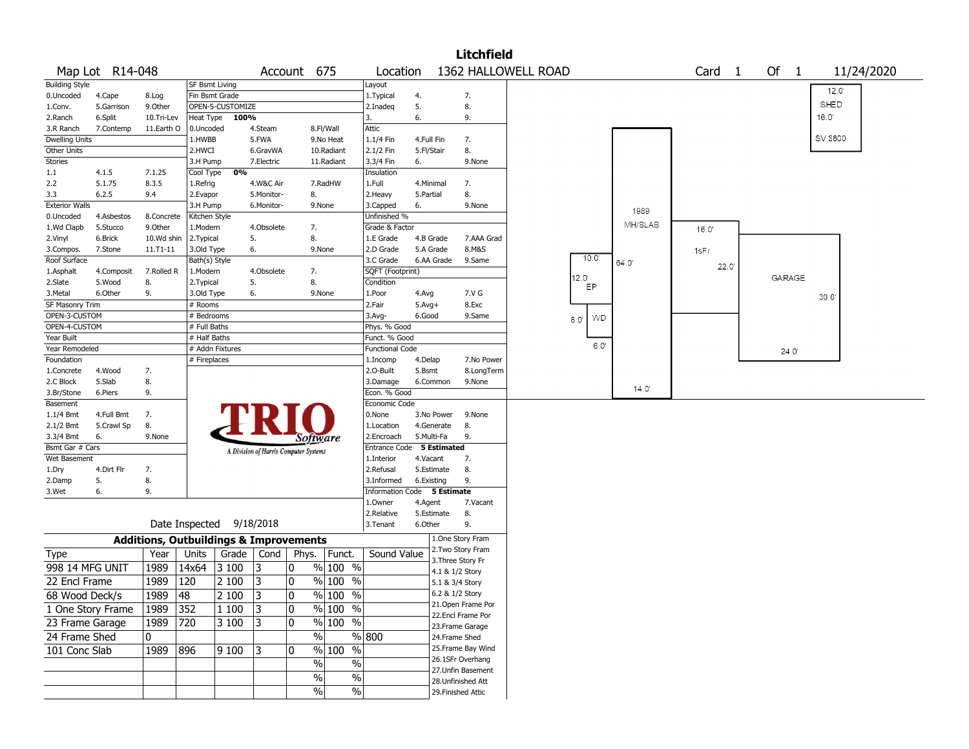|                       |                   |            |                                                   |                  |                                       |             |                       |                             |           |             | <b>Litchfield</b>   |                |                |         |      |      |                    |          |            |
|-----------------------|-------------------|------------|---------------------------------------------------|------------------|---------------------------------------|-------------|-----------------------|-----------------------------|-----------|-------------|---------------------|----------------|----------------|---------|------|------|--------------------|----------|------------|
|                       | Map Lot R14-048   |            |                                                   |                  |                                       | Account 675 |                       | Location                    |           |             | 1362 HALLOWELL ROAD |                |                |         | Card | -1   | Of<br>$\mathbf{1}$ |          | 11/24/2020 |
| <b>Building Style</b> |                   |            | SF Bsmt Living                                    |                  |                                       |             |                       | Layout                      |           |             |                     |                |                |         |      |      |                    |          |            |
| 0.Uncoded             | 4.Cape            | 8.Log      | Fin Bsmt Grade                                    |                  |                                       |             |                       | 1.Typical                   | 4.        |             | 7.                  |                |                |         |      |      |                    | 12.0'    |            |
| 1.Conv.               | 5.Garrison        | 9.Other    |                                                   | OPEN-5-CUSTOMIZE |                                       |             |                       | 2.Inadeq                    | 5.        |             | 8.                  |                |                |         |      |      |                    | SHED     |            |
| 2.Ranch               | 6.Split           | 10.Tri-Lev | Heat Type                                         | 100%             |                                       |             |                       | 3.                          | 6.        |             | 9.                  |                |                |         |      |      |                    | 16.0'    |            |
| 3.R Ranch             | 7.Contemp         | 11.Earth O | 0.Uncoded                                         |                  | 4.Steam                               |             | 8.Fl/Wall             | Attic                       |           |             |                     |                |                |         |      |      |                    |          |            |
| <b>Dwelling Units</b> |                   |            | 1.HWBB                                            |                  | 5.FWA                                 |             | 9.No Heat             | 1.1/4 Fin                   |           | 4.Full Fin  | 7.                  |                |                |         |      |      |                    | SV \$800 |            |
| Other Units           |                   |            | 2.HWCI                                            |                  | 6.GravWA                              |             | 10.Radiant            | 2.1/2 Fin                   |           | 5.Fl/Stair  | 8.                  |                |                |         |      |      |                    |          |            |
| <b>Stories</b>        |                   |            | 3.H Pump                                          |                  | 7.Electric                            |             | 11.Radiant            | 3.3/4 Fin                   | 6.        |             | 9.None              |                |                |         |      |      |                    |          |            |
| 1.1                   | 4.1.5             | 7.1.25     | Cool Type                                         | 0%               |                                       |             |                       | Insulation                  |           |             |                     |                |                |         |      |      |                    |          |            |
| 2.2                   | 5.1.75            | 8.3.5      | 1.Refrig                                          |                  | 4.W&C Air                             |             | 7.RadHW               | 1.Full                      |           | 4.Minimal   | 7.                  |                |                |         |      |      |                    |          |            |
| 3.3                   | 6.2.5             | 9.4        | 2.Evapor                                          |                  | 5.Monitor-                            | 8.          |                       | 2.Heavy                     | 5.Partial |             | 8.                  |                |                |         |      |      |                    |          |            |
| <b>Exterior Walls</b> |                   |            | 3.H Pump                                          |                  | 6.Monitor-                            |             | 9.None                | 3.Capped                    | 6.        |             | 9.None              |                |                | 1989    |      |      |                    |          |            |
| 0.Uncoded             | 4.Asbestos        | 8.Concrete | Kitchen Style                                     |                  |                                       |             |                       | Unfinished %                |           |             |                     |                |                |         |      |      |                    |          |            |
| 1.Wd Clapb            | 5.Stucco          | 9.Other    | 1.Modern                                          |                  | 4.Obsolete                            | 7.          |                       | Grade & Factor              |           |             |                     |                |                | MH/SLAB | 16.0 |      |                    |          |            |
| 2.Vinyl               | 6.Brick           | 10.Wd shin | 2. Typical                                        |                  | 5.                                    | 8.          |                       | 1.E Grade                   |           | 4.B Grade   | 7.AAA Grad          |                |                |         |      |      |                    |          |            |
| 3.Compos.             | 7.Stone           | 11.T1-11   | 3.Old Type                                        |                  | 6.                                    |             | 9.None                | 2.D Grade                   |           | 5.A Grade   | 8.M&S               |                |                |         | 1sFr |      |                    |          |            |
| Roof Surface          |                   |            | Bath(s) Style                                     |                  |                                       |             |                       | 3.C Grade                   |           | 6.AA Grade  | 9.Same              |                | $10.0^{\circ}$ | 64.0    |      |      |                    |          |            |
| 1.Asphalt             | 4.Composit        | 7.Rolled R | 1.Modern                                          |                  | 4.Obsolete                            | 7.          |                       | SQFT (Footprint)            |           |             |                     |                |                |         |      | 22.0 |                    |          |            |
| 2.Slate               | 5.Wood            | 8.         | 2. Typical                                        |                  | 5.                                    | 8.          |                       | Condition                   |           |             |                     | $12.0^{\circ}$ | EP             |         |      |      | GARAGE             |          |            |
| 3.Metal               | 6.Other           | 9.         | 3.Old Type                                        |                  | 6.                                    |             | 9.None                | 1.Poor                      | 4.Avg     |             | 7.V G               |                |                |         |      |      |                    | 30.0'    |            |
| SF Masonry Trim       |                   |            | # Rooms                                           |                  |                                       |             |                       | 2.Fair                      | $5.Avg+$  |             | 8.Exc               |                |                |         |      |      |                    |          |            |
| OPEN-3-CUSTOM         |                   |            | # Bedrooms                                        |                  |                                       |             |                       | 3.Avg-                      | 6.Good    |             | 9.Same              | 8.0            | WD             |         |      |      |                    |          |            |
| OPEN-4-CUSTOM         |                   |            | # Full Baths                                      |                  |                                       |             |                       | Phys. % Good                |           |             |                     |                |                |         |      |      |                    |          |            |
| Year Built            |                   |            | # Half Baths                                      |                  |                                       |             |                       | Funct. % Good               |           |             |                     |                |                |         |      |      |                    |          |            |
| Year Remodeled        |                   |            |                                                   | # Addn Fixtures  |                                       |             |                       | <b>Functional Code</b>      |           |             |                     |                | 6.0'           |         |      |      | 24.0               |          |            |
| Foundation            |                   |            | # Fireplaces                                      |                  |                                       |             |                       | 1.Incomp                    | 4.Delap   |             | 7.No Power          |                |                |         |      |      |                    |          |            |
| 1.Concrete            | 4.Wood            | 7.         |                                                   |                  |                                       |             |                       | 2.O-Built                   | 5.Bsmt    |             | 8.LongTerm          |                |                |         |      |      |                    |          |            |
| 2.C Block             | 5.Slab            | 8.         |                                                   |                  |                                       |             |                       | 3.Damage                    |           | 6.Common    | 9.None              |                |                |         |      |      |                    |          |            |
| 3.Br/Stone            | 6.Piers           | 9.         |                                                   |                  |                                       |             |                       | Econ. % Good                |           |             |                     |                |                | 14.0'   |      |      |                    |          |            |
| Basement              |                   |            |                                                   |                  |                                       |             |                       | Economic Code               |           |             |                     |                |                |         |      |      |                    |          |            |
| 1.1/4 Bmt             | 4.Full Bmt        | 7.         |                                                   |                  |                                       |             |                       | 0.None                      |           | 3.No Power  | 9.None              |                |                |         |      |      |                    |          |            |
| 2.1/2 Bmt             | 5.Crawl Sp        | 8.         |                                                   |                  |                                       |             |                       | 1.Location                  |           | 4.Generate  | 8.                  |                |                |         |      |      |                    |          |            |
| 3.3/4 Bmt             | 6.                | 9.None     |                                                   |                  |                                       |             | Software              | 2.Encroach                  |           | 5.Multi-Fa  | 9.                  |                |                |         |      |      |                    |          |            |
| Bsmt Gar # Cars       |                   |            |                                                   |                  | A Division of Harris Computer Systems |             |                       | Entrance Code               |           | 5 Estimated |                     |                |                |         |      |      |                    |          |            |
| Wet Basement          |                   |            |                                                   |                  |                                       |             |                       | 1.Interior                  |           | 4.Vacant    | 7.                  |                |                |         |      |      |                    |          |            |
| 1.Dry                 | 4.Dirt Flr        | 7.         |                                                   |                  |                                       |             |                       | 2.Refusal                   |           | 5.Estimate  | 8.                  |                |                |         |      |      |                    |          |            |
| 2.Damp                | 5.                | 8.         |                                                   |                  |                                       |             |                       | 3.Informed                  |           | 6.Existing  | 9.                  |                |                |         |      |      |                    |          |            |
| 3.Wet                 | 6.                | 9.         |                                                   |                  |                                       |             |                       | Information Code 5 Estimate |           |             |                     |                |                |         |      |      |                    |          |            |
|                       |                   |            |                                                   |                  |                                       |             |                       | 1.0wner                     | 4.Agent   |             | 7.Vacant            |                |                |         |      |      |                    |          |            |
|                       |                   |            |                                                   |                  |                                       |             |                       | 2.Relative                  |           | 5.Estimate  | 8.                  |                |                |         |      |      |                    |          |            |
|                       |                   |            | Date Inspected 9/18/2018                          |                  |                                       |             |                       | 3. Tenant                   | 6.Other   |             | 9.                  |                |                |         |      |      |                    |          |            |
|                       |                   |            | <b>Additions, Outbuildings &amp; Improvements</b> |                  |                                       |             |                       |                             |           |             | 1.One Story Fram    |                |                |         |      |      |                    |          |            |
| Type                  |                   | Year       | Units                                             | Grade            | Cond                                  |             | Phys.   Funct.        | Sound Value                 |           |             | 2. Two Story Fram   |                |                |         |      |      |                    |          |            |
| 998 14 MFG UNIT       |                   |            |                                                   |                  |                                       |             |                       |                             |           |             | 3. Three Story Fr   |                |                |         |      |      |                    |          |            |
|                       |                   | 1989       | 14x64                                             | 3 100            | 3                                     | 10          | $%100$ %              |                             |           |             | 4.1 & 1/2 Story     |                |                |         |      |      |                    |          |            |
| 22 Encl Frame         |                   | 1989       | 120                                               | 2 100            | 3                                     | 10          | $%100$ %              |                             |           |             | 5.1 & 3/4 Story     |                |                |         |      |      |                    |          |            |
| 68 Wood Deck/s        |                   | 1989       | 48                                                | 2 100            | $\overline{3}$                        | 0           | $\frac{9}{6}$ 100 %   |                             |           |             | 6.2 & 1/2 Story     |                |                |         |      |      |                    |          |            |
|                       | 1 One Story Frame | 1989       | 352                                               | 1 100            | 3                                     | 10          | % 100 %               |                             |           |             | 21. Open Frame Por  |                |                |         |      |      |                    |          |            |
|                       |                   |            |                                                   |                  |                                       |             |                       |                             |           |             | 22.Encl Frame Por   |                |                |         |      |      |                    |          |            |
| 23 Frame Garage       |                   | 1989       | 720                                               | 3 100            | 13                                    | 0           | % 100 %               |                             |           |             | 23. Frame Garage    |                |                |         |      |      |                    |          |            |
| 24 Frame Shed         |                   | 0          |                                                   |                  |                                       |             | $\frac{1}{2}$         | % 800                       |           |             | 24.Frame Shed       |                |                |         |      |      |                    |          |            |
| 101 Conc Slab         |                   | 1989       | 896                                               | 9100             | 3                                     | 10          | % 100 %               |                             |           |             | 25. Frame Bay Wind  |                |                |         |      |      |                    |          |            |
|                       |                   |            |                                                   |                  |                                       |             | $\%$<br>$\%$          |                             |           |             | 26.1SFr Overhang    |                |                |         |      |      |                    |          |            |
|                       |                   |            |                                                   |                  |                                       |             |                       |                             |           |             | 27.Unfin Basement   |                |                |         |      |      |                    |          |            |
|                       |                   |            |                                                   |                  |                                       |             | $\frac{1}{2}$<br>$\%$ |                             |           |             | 28. Unfinished Att  |                |                |         |      |      |                    |          |            |
|                       |                   |            |                                                   |                  |                                       |             | $\frac{1}{2}$<br>$\%$ |                             |           |             | 29. Finished Attic  |                |                |         |      |      |                    |          |            |
|                       |                   |            |                                                   |                  |                                       |             |                       |                             |           |             |                     |                |                |         |      |      |                    |          |            |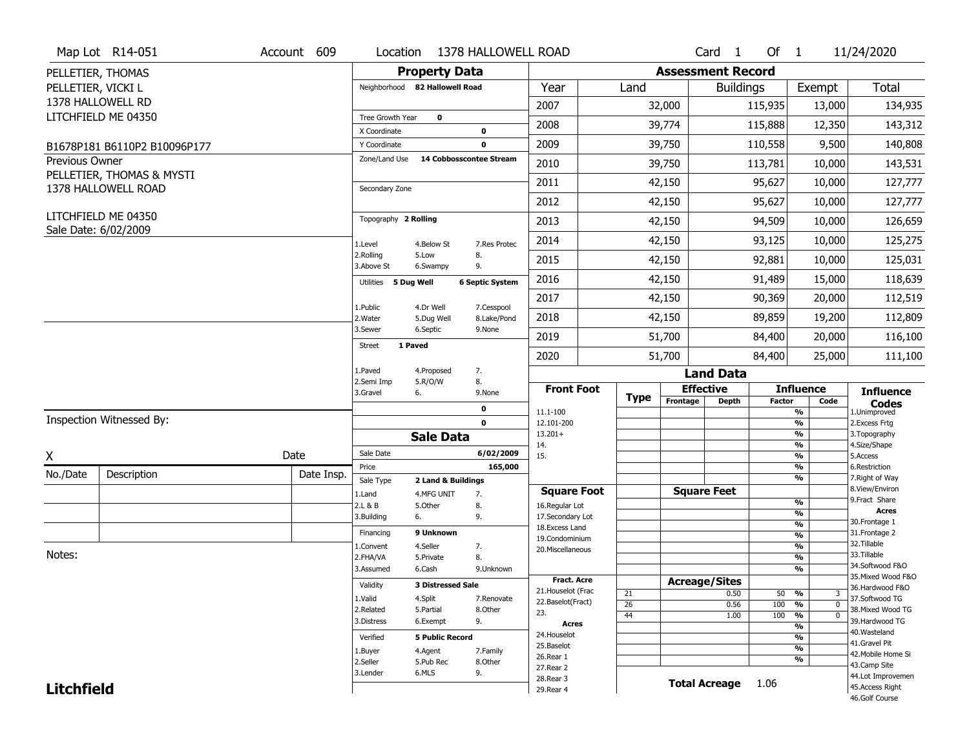|                       | Map Lot R14-051                             | Account 609 | Location                       |                                  | 1378 HALLOWELL ROAD    |                                         |             |                          | Card <sub>1</sub> | Of $1$        |                                      | 11/24/2020                            |
|-----------------------|---------------------------------------------|-------------|--------------------------------|----------------------------------|------------------------|-----------------------------------------|-------------|--------------------------|-------------------|---------------|--------------------------------------|---------------------------------------|
|                       | PELLETIER, THOMAS                           |             |                                | <b>Property Data</b>             |                        |                                         |             | <b>Assessment Record</b> |                   |               |                                      |                                       |
| PELLETIER, VICKI L    |                                             |             | Neighborhood 82 Hallowell Road |                                  |                        | Year                                    | Land        |                          | <b>Buildings</b>  |               | Exempt                               | <b>Total</b>                          |
|                       | 1378 HALLOWELL RD                           |             |                                |                                  |                        | 2007                                    |             | 32,000                   |                   | 115,935       | 13,000                               | 134,935                               |
|                       | LITCHFIELD ME 04350                         |             | Tree Growth Year               | $\mathbf 0$                      |                        |                                         |             |                          |                   |               |                                      |                                       |
|                       |                                             |             | X Coordinate                   |                                  | 0                      | 2008                                    |             | 39,774                   |                   | 115,888       | 12,350                               | 143,312                               |
|                       | B1678P181 B6110P2 B10096P177                |             | Y Coordinate                   |                                  | $\mathbf 0$            | 2009                                    |             | 39,750                   |                   | 110,558       | 9,500                                | 140,808                               |
| <b>Previous Owner</b> | PELLETIER, THOMAS & MYSTI                   |             | Zone/Land Use                  | 14 Cobbosscontee Stream          |                        | 2010                                    |             | 39,750                   |                   | 113,781       | 10,000                               | 143,531                               |
|                       | 1378 HALLOWELL ROAD                         |             | Secondary Zone                 |                                  |                        | 2011                                    |             | 42,150                   |                   | 95,627        | 10,000                               | 127,777                               |
|                       |                                             |             |                                |                                  |                        | 2012                                    |             | 42,150                   |                   | 95,627        | 10,000                               | 127,777                               |
|                       | LITCHFIELD ME 04350<br>Sale Date: 6/02/2009 |             | Topography 2 Rolling           |                                  |                        | 2013                                    |             | 42,150                   |                   | 94,509        | 10,000                               | 126,659                               |
|                       |                                             |             | 1.Level                        | 4.Below St                       | 7.Res Protec           | 2014                                    |             | 42,150                   |                   | 93,125        | 10,000                               | 125,275                               |
|                       |                                             |             | 2.Rolling<br>3.Above St        | 5.Low<br>6.Swampy                | 8.<br>9.               | 2015                                    |             | 42,150                   |                   | 92,881        | 10,000                               | 125,031                               |
|                       |                                             |             | Utilities 5 Dug Well           |                                  | <b>6 Septic System</b> | 2016                                    |             | 42,150                   |                   | 91,489        | 15,000                               | 118,639                               |
|                       |                                             |             | 1.Public                       | 4.Dr Well                        | 7.Cesspool             | 2017                                    |             | 42,150                   |                   | 90,369        | 20,000                               | 112,519                               |
|                       |                                             |             | 2. Water                       | 5.Dug Well                       | 8.Lake/Pond            | 2018                                    |             | 42,150                   |                   | 89,859        | 19,200                               | 112,809                               |
|                       |                                             |             | 3.Sewer                        | 6.Septic                         | 9.None                 | 2019                                    |             | 51,700                   |                   | 84,400        | 20,000                               | 116,100                               |
|                       |                                             |             | 1 Paved<br><b>Street</b>       |                                  |                        | 2020                                    |             | 51,700                   |                   | 84,400        | 25,000                               | 111,100                               |
|                       |                                             |             | 1.Paved<br>2.Semi Imp          | 4.Proposed<br>5.R/O/W            | 7.<br>8.               |                                         |             |                          | <b>Land Data</b>  |               |                                      |                                       |
|                       |                                             |             | 3.Gravel                       | 6.                               | 9.None                 | <b>Front Foot</b>                       | <b>Type</b> | <b>Effective</b>         |                   |               | <b>Influence</b>                     | <b>Influence</b>                      |
|                       |                                             |             |                                |                                  | 0                      | 11.1-100                                |             | Frontage                 | <b>Depth</b>      | <b>Factor</b> | Code<br>%                            | <b>Codes</b><br>1.Unimproved          |
|                       | Inspection Witnessed By:                    |             |                                |                                  | $\mathbf 0$            | 12.101-200                              |             |                          |                   |               | $\frac{9}{6}$                        | 2. Excess Frtg                        |
|                       |                                             |             |                                | <b>Sale Data</b>                 |                        | $13.201+$<br>14.                        |             |                          |                   |               | %<br>%                               | 3. Topography<br>4.Size/Shape         |
| X                     |                                             | Date        | Sale Date                      |                                  | 6/02/2009              | 15.                                     |             |                          |                   |               | %                                    | 5.Access                              |
| No./Date              | Description                                 | Date Insp.  | Price                          |                                  | 165,000                |                                         |             |                          |                   |               | %<br>%                               | 6.Restriction<br>7. Right of Way      |
|                       |                                             |             | Sale Type<br>1.Land            | 2 Land & Buildings<br>4.MFG UNIT | 7.                     | <b>Square Foot</b>                      |             | <b>Square Feet</b>       |                   |               |                                      | 8.View/Environ                        |
|                       |                                             |             | 2.L & B                        | 5.Other                          | 8.                     | 16.Regular Lot                          |             |                          |                   |               | %                                    | 9.Fract Share<br><b>Acres</b>         |
|                       |                                             |             | 3.Building                     | 6.                               | 9.                     | 17.Secondary Lot                        |             |                          |                   |               | $\frac{9}{6}$<br>$\frac{9}{6}$       | 30.Frontage 1                         |
|                       |                                             |             | Financing                      | 9 Unknown                        |                        | 18. Excess Land<br>19.Condominium       |             |                          |                   |               | $\frac{9}{6}$                        | 31. Frontage 2                        |
|                       |                                             |             | 1.Convent                      | 4.Seller                         | 7.                     | 20.Miscellaneous                        |             |                          |                   |               | $\frac{9}{6}$                        | 32.Tillable                           |
| Notes:                |                                             |             | 2.FHA/VA                       | 5.Private                        | 8.                     |                                         |             |                          |                   |               | $\frac{9}{6}$                        | 33.Tillable                           |
|                       |                                             |             | 3.Assumed                      | 6.Cash                           | 9.Unknown              |                                         |             |                          |                   |               | $\overline{\frac{9}{6}}$             | 34.Softwood F&O<br>35. Mixed Wood F&O |
|                       |                                             |             | Validity                       | <b>3 Distressed Sale</b>         |                        | <b>Fract. Acre</b>                      |             | <b>Acreage/Sites</b>     |                   |               |                                      | 36.Hardwood F&O                       |
|                       |                                             |             | 1.Valid                        | 4.Split                          | 7.Renovate             | 21. Houselot (Frac<br>22.Baselot(Fract) | 21          |                          | 0.50              | 50 %          | 3                                    | 37.Softwood TG                        |
|                       |                                             |             | 2.Related                      | 5.Partial                        | 8.Other                | 23.                                     | 26<br>44    |                          | 0.56<br>1.00      | 100<br>100    | %<br>$\mathbf 0$<br>%<br>$\mathbf 0$ | 38. Mixed Wood TG                     |
|                       |                                             |             | 3.Distress                     | 6.Exempt                         | 9.                     | <b>Acres</b>                            |             |                          |                   |               | %                                    | 39.Hardwood TG                        |
|                       |                                             |             | Verified                       | <b>5 Public Record</b>           |                        | 24. Houselot                            |             |                          |                   |               | %                                    | 40. Wasteland                         |
|                       |                                             |             | 1.Buyer                        | 4.Agent                          | 7.Family               | 25.Baselot                              |             |                          |                   |               | $\frac{9}{6}$                        | 41.Gravel Pit<br>42. Mobile Home Si   |
|                       |                                             |             | 2.Seller                       | 5.Pub Rec                        | 8.Other                | 26.Rear 1                               |             |                          |                   |               | %                                    | 43.Camp Site                          |
|                       |                                             |             | 3.Lender                       | 6.MLS                            | 9.                     | 27.Rear 2                               |             |                          |                   |               |                                      | 44.Lot Improvemen                     |
| <b>Litchfield</b>     |                                             |             |                                |                                  |                        | 28. Rear 3                              |             |                          |                   |               |                                      |                                       |
|                       |                                             |             |                                |                                  |                        | 29. Rear 4                              |             | <b>Total Acreage</b>     |                   | 1.06          |                                      | 45. Access Right                      |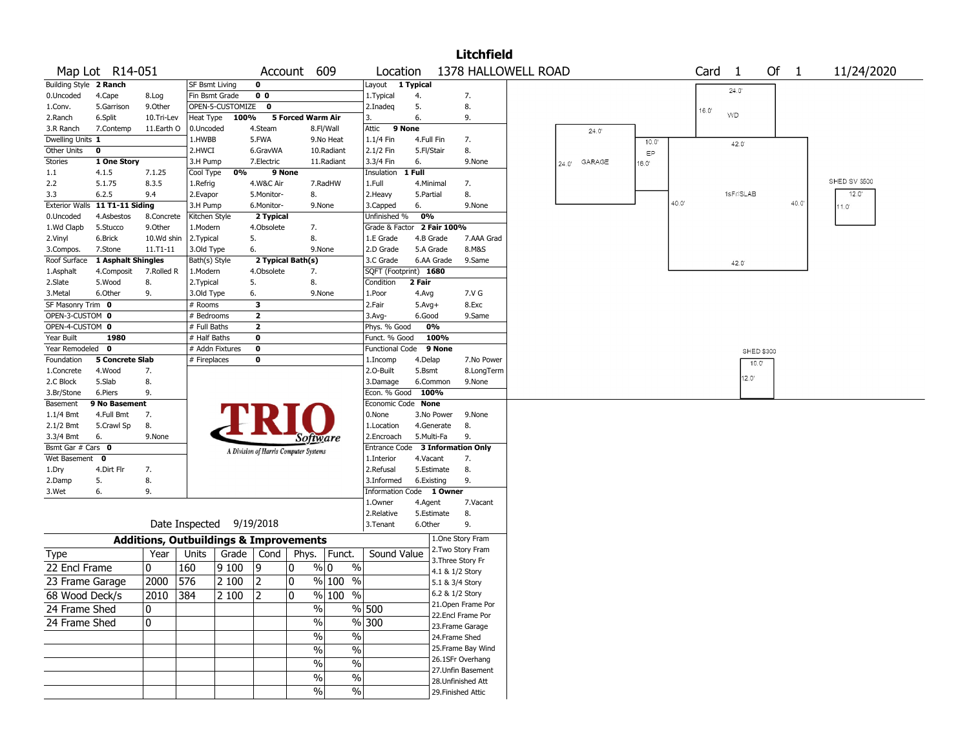|                        |                                |               |                |                          |                |                                                   |               |                          |            |             | <b>Litchfield</b>                       |       |                |                |                   |       |                |                   |       |                |
|------------------------|--------------------------------|---------------|----------------|--------------------------|----------------|---------------------------------------------------|---------------|--------------------------|------------|-------------|-----------------------------------------|-------|----------------|----------------|-------------------|-------|----------------|-------------------|-------|----------------|
|                        | Map Lot R14-051                |               |                |                          |                | Account 609                                       |               | Location                 |            |             | 1378 HALLOWELL ROAD                     |       |                |                |                   | Card  | $\overline{1}$ |                   | Of 1  | 11/24/2020     |
| Building Style 2 Ranch |                                |               | SF Bsmt Living |                          | $\mathbf 0$    |                                                   |               | Layout 1 Typical         |            |             |                                         |       |                |                |                   |       | 24.0'          |                   |       |                |
| 0.Uncoded              | 4.Cape                         | 8.Log         | Fin Bsmt Grade |                          | 0 <sub>0</sub> |                                                   |               | 1.Typical                | 4.         |             | 7.                                      |       |                |                |                   |       |                |                   |       |                |
| 1.Conv.                | 5.Garrison                     | 9.Other       |                | OPEN-5-CUSTOMIZE         | $\mathbf 0$    |                                                   |               | 2.Inadeg                 | 5.         |             | 8.                                      |       |                |                |                   | 16.0' |                |                   |       |                |
| 2.Ranch                | 6.Split                        | 10.Tri-Lev    | Heat Type      | 100%                     |                | 5 Forced Warm Air                                 |               | 3.                       | 6.         |             | 9.                                      |       |                |                |                   |       | WD             |                   |       |                |
| 3.R Ranch              | 7.Contemp                      | 11.Earth O    | 0.Uncoded      |                          | 4.Steam        |                                                   | 8.Fl/Wall     | 9 None<br>Attic          |            |             |                                         |       | $24.0^{\circ}$ |                |                   |       |                |                   |       |                |
| Dwelling Units 1       |                                |               | 1.HWBB         |                          | 5.FWA          |                                                   | 9.No Heat     | 1.1/4 Fin                | 4.Full Fin |             | 7.                                      |       |                | 10.0'          |                   |       | 42.0           |                   |       |                |
| Other Units            | 0                              |               | 2.HWCI         |                          | 6.GravWA       |                                                   | 10.Radiant    | 2.1/2 Fin                | 5.Fl/Stair |             | 8.                                      |       |                | EP             |                   |       |                |                   |       |                |
| Stories                | 1 One Story                    |               | 3.H Pump       |                          | 7.Electric     |                                                   | 11.Radiant    | 3.3/4 Fin                | 6.         |             | 9.None                                  | 24.0' | GARAGE         | $16.0^{\circ}$ |                   |       |                |                   |       |                |
| 1.1                    | 4.1.5                          | 7.1.25        | Cool Type      | 0%                       |                | 9 None                                            |               | Insulation               | 1 Full     |             |                                         |       |                |                |                   |       |                |                   |       |                |
| 2.2                    | 5.1.75                         | 8.3.5         | 1.Refrig       |                          | 4.W&C Air      |                                                   | 7.RadHW       | 1.Full                   | 4.Minimal  |             | 7.                                      |       |                |                |                   |       |                |                   |       | SHED SV \$500  |
| 3.3                    | 6.2.5                          | 9.4           | 2.Evapor       |                          | 5.Monitor-     | 8.                                                |               | 2.Heavy                  | 5.Partial  |             | 8.                                      |       |                |                |                   |       | 1sFr/SLAB      |                   |       | 12.0'          |
|                        | Exterior Walls 11 T1-11 Siding |               | 3.H Pump       |                          | 6.Monitor-     | 9.None                                            |               | 3.Capped                 | 6.         |             | 9.None                                  |       |                |                | 40.0 <sup>1</sup> |       |                |                   | 40.0' | $11.0^{\circ}$ |
| 0.Uncoded              | 4.Asbestos                     | 8.Concrete    | Kitchen Style  |                          | 2 Typical      |                                                   |               | Unfinished %             | 0%         |             |                                         |       |                |                |                   |       |                |                   |       |                |
| 1.Wd Clapb             | 5.Stucco                       | 9.0ther       | 1.Modern       |                          | 4.Obsolete     | 7.                                                |               | Grade & Factor           |            | 2 Fair 100% |                                         |       |                |                |                   |       |                |                   |       |                |
| 2.Vinyl                | 6.Brick                        | 10.Wd shin    | 2.Typical      |                          | 5.             | 8.                                                |               | 1.E Grade                |            | 4.B Grade   | 7.AAA Grad                              |       |                |                |                   |       |                |                   |       |                |
| 3.Compos.              | 7.Stone                        | $11. T1 - 11$ | 3.Old Type     |                          | 6.             | 9.None                                            |               | 2.D Grade                |            | 5.A Grade   | 8.M&S                                   |       |                |                |                   |       |                |                   |       |                |
| Roof Surface           | 1 Asphalt Shingles             |               | Bath(s) Style  |                          |                | 2 Typical Bath(s)                                 |               | 3.C Grade                |            | 6.AA Grade  | 9.Same                                  |       |                |                |                   |       | 42.0           |                   |       |                |
| 1.Asphalt              | 4.Composit                     | 7.Rolled R    | 1.Modern       |                          | 4.Obsolete     | 7.                                                |               | SQFT (Footprint) 1680    |            |             |                                         |       |                |                |                   |       |                |                   |       |                |
| 2.Slate                | 5.Wood                         | 8.            | 2. Typical     |                          | 5.             | 8.                                                |               | Condition                | 2 Fair     |             |                                         |       |                |                |                   |       |                |                   |       |                |
| 3.Metal                | 6.Other                        | 9.            | 3.Old Type     |                          | 6.             | 9.None                                            |               | 1.Poor                   | 4.Avg      |             | 7.V G                                   |       |                |                |                   |       |                |                   |       |                |
| SF Masonry Trim 0      |                                |               | # Rooms        |                          | 3              |                                                   |               | 2.Fair                   | $5.Avg+$   |             | 8.Exc                                   |       |                |                |                   |       |                |                   |       |                |
| OPEN-3-CUSTOM 0        |                                |               | # Bedrooms     |                          | $\mathbf{2}$   |                                                   |               | 3.Avg-                   | 6.Good     |             | 9.Same                                  |       |                |                |                   |       |                |                   |       |                |
| OPEN-4-CUSTOM 0        |                                |               | # Full Baths   |                          | $\mathbf{2}$   |                                                   |               | Phys. % Good             |            | 0%          |                                         |       |                |                |                   |       |                |                   |       |                |
| Year Built             | 1980                           |               | # Half Baths   |                          | 0              |                                                   |               | Funct. % Good            |            | 100%        |                                         |       |                |                |                   |       |                |                   |       |                |
| Year Remodeled         | $\mathbf 0$                    |               |                | # Addn Fixtures          | $\mathbf 0$    |                                                   |               | <b>Functional Code</b>   |            | 9 None      |                                         |       |                |                |                   |       |                | <b>SHED \$300</b> |       |                |
| Foundation             | <b>5 Concrete Slab</b>         |               | # Fireplaces   |                          | 0              |                                                   |               | 1.Incomp                 | 4.Delap    |             | 7.No Power                              |       |                |                |                   |       |                | 10.0              |       |                |
| 1.Concrete             | 4.Wood                         | 7.            |                |                          |                |                                                   |               | 2.O-Built                | 5.Bsmt     |             | 8.LongTerm                              |       |                |                |                   |       |                |                   |       |                |
| 2.C Block              | 5.Slab                         | 8.            |                |                          |                |                                                   |               | 3.Damage                 |            | 6.Common    | 9.None                                  |       |                |                |                   |       | 12.0           |                   |       |                |
| 3.Br/Stone             | 6.Piers                        | 9.            |                |                          |                |                                                   |               | Econ. % Good 100%        |            |             |                                         |       |                |                |                   |       |                |                   |       |                |
| Basement               | 9 No Basement                  |               |                |                          |                |                                                   |               | Economic Code None       |            |             |                                         |       |                |                |                   |       |                |                   |       |                |
| $1.1/4$ Bmt            | 4.Full Bmt                     | 7.            |                |                          |                |                                                   |               | 0.None                   |            | 3.No Power  | 9.None                                  |       |                |                |                   |       |                |                   |       |                |
| 2.1/2 Bmt              | 5.Crawl Sp                     | 8.            |                |                          |                |                                                   |               | 1.Location               |            | 4.Generate  | 8.                                      |       |                |                |                   |       |                |                   |       |                |
| 3.3/4 Bmt              | 6.                             | 9.None        |                |                          |                | Sottware                                          |               | 2.Encroach               |            | 5.Multi-Fa  | 9.                                      |       |                |                |                   |       |                |                   |       |                |
| Bsmt Gar # Cars 0      |                                |               |                |                          |                | A Division of Harris Computer Systems             |               | Entrance Code            |            |             | <b>3 Information Only</b>               |       |                |                |                   |       |                |                   |       |                |
| Wet Basement           | 0                              |               |                |                          |                |                                                   |               | 1.Interior               | 4.Vacant   |             | 7.                                      |       |                |                |                   |       |                |                   |       |                |
| 1.Dry                  | 4.Dirt Flr                     | 7.            |                |                          |                |                                                   |               | 2.Refusal                |            | 5.Estimate  | 8.                                      |       |                |                |                   |       |                |                   |       |                |
| 2.Damp                 | 5.                             | 8.            |                |                          |                |                                                   |               | 3.Informed               | 6.Existing |             | 9.                                      |       |                |                |                   |       |                |                   |       |                |
| 3.Wet                  | 6.                             | 9.            |                |                          |                |                                                   |               | Information Code 1 Owner |            |             |                                         |       |                |                |                   |       |                |                   |       |                |
|                        |                                |               |                |                          |                |                                                   |               | 1.Owner                  | 4.Agent    |             | 7.Vacant                                |       |                |                |                   |       |                |                   |       |                |
|                        |                                |               |                |                          |                |                                                   |               | 2.Relative               |            | 5.Estimate  | 8.                                      |       |                |                |                   |       |                |                   |       |                |
|                        |                                |               |                | Date Inspected 9/19/2018 |                |                                                   |               | 3.Tenant                 | 6.Other    |             | 9.                                      |       |                |                |                   |       |                |                   |       |                |
|                        |                                |               |                |                          |                | <b>Additions, Outbuildings &amp; Improvements</b> |               |                          |            |             | 1.One Story Fram                        |       |                |                |                   |       |                |                   |       |                |
| <b>Type</b>            |                                | Year          | Units          | Grade   Cond             |                | Phys.                                             | Funct.        | Sound Value              |            |             | 2. Two Story Fram                       |       |                |                |                   |       |                |                   |       |                |
| 22 Encl Frame          |                                | 0             | 160            | 9100                     | 19             | 0                                                 | % 0<br>$\%$   |                          |            |             | 3. Three Story Fr                       |       |                |                |                   |       |                |                   |       |                |
| 23 Frame Garage        |                                | 2000          | 576            | 2 100                    | 12             | 0                                                 | $%100$ %      |                          |            |             | 4.1 & 1/2 Story                         |       |                |                |                   |       |                |                   |       |                |
|                        |                                |               |                |                          |                |                                                   |               |                          |            |             | 5.1 & 3/4 Story                         |       |                |                |                   |       |                |                   |       |                |
| 68 Wood Deck/s         |                                | 2010          | 384            | 2 100                    | $ 2\rangle$    | $\mathbf{0}$                                      | % 100<br>$\%$ |                          |            |             | 6.2 & 1/2 Story                         |       |                |                |                   |       |                |                   |       |                |
| 24 Frame Shed          |                                | 0             |                |                          |                | %                                                 |               | $\frac{9}{6}$ 500        |            |             | 21. Open Frame Por<br>22.Encl Frame Por |       |                |                |                   |       |                |                   |       |                |
| 24 Frame Shed          |                                | 0             |                |                          |                | $\frac{1}{2}$                                     |               | $\frac{8}{1}$ 300        |            |             |                                         |       |                |                |                   |       |                |                   |       |                |
|                        |                                |               |                |                          |                | $\frac{1}{2}$                                     | $\%$          |                          |            |             | 23. Frame Garage                        |       |                |                |                   |       |                |                   |       |                |
|                        |                                |               |                |                          |                |                                                   |               |                          |            |             | 24.Frame Shed                           |       |                |                |                   |       |                |                   |       |                |
|                        |                                |               |                |                          |                | $\frac{0}{0}$                                     | $\%$          |                          |            |             | 25. Frame Bay Wind                      |       |                |                |                   |       |                |                   |       |                |
|                        |                                |               |                |                          |                | $\frac{0}{0}$                                     | $\frac{1}{2}$ |                          |            |             | 26.1SFr Overhang<br>27.Unfin Basement   |       |                |                |                   |       |                |                   |       |                |
|                        |                                |               |                |                          |                | $\%$                                              | $\%$          |                          |            |             | 28. Unfinished Att                      |       |                |                |                   |       |                |                   |       |                |
|                        |                                |               |                |                          |                | $\%$                                              | $\%$          |                          |            |             |                                         |       |                |                |                   |       |                |                   |       |                |
|                        |                                |               |                |                          |                |                                                   |               |                          |            |             | 29. Finished Attic                      |       |                |                |                   |       |                |                   |       |                |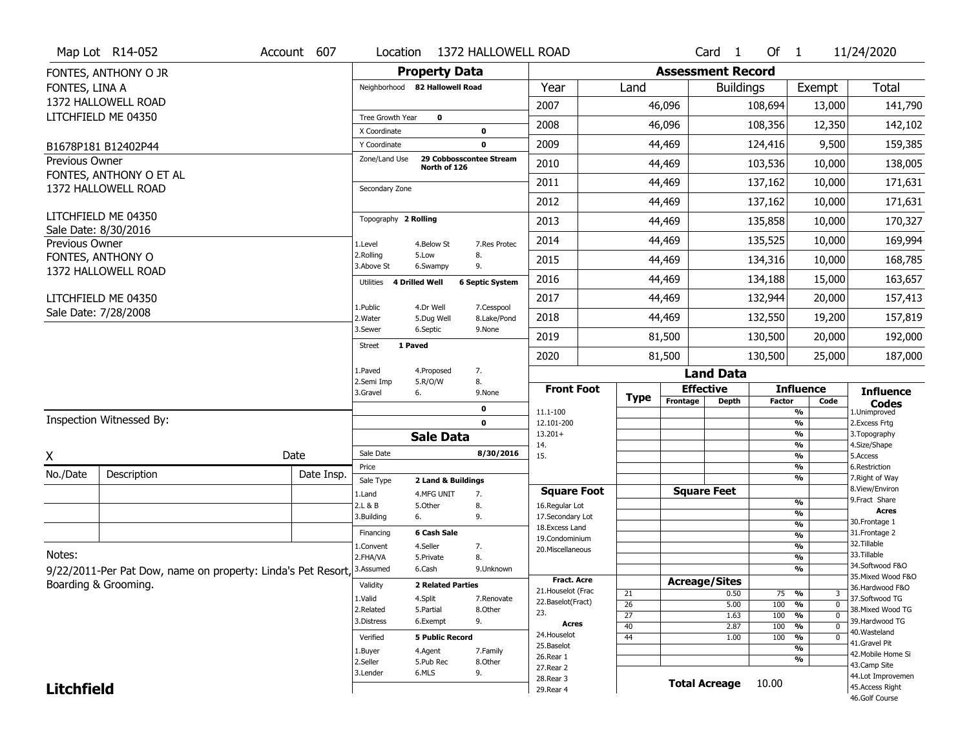|                   | Map Lot R14-052                                              | Account 607 | Location                     | 1372 HALLOWELL ROAD                    |                        |                                   |                       |                          | Card <sub>1</sub> | Of $1$        |                                           | 11/24/2020                           |
|-------------------|--------------------------------------------------------------|-------------|------------------------------|----------------------------------------|------------------------|-----------------------------------|-----------------------|--------------------------|-------------------|---------------|-------------------------------------------|--------------------------------------|
|                   | FONTES, ANTHONY O JR                                         |             |                              | <b>Property Data</b>                   |                        |                                   |                       | <b>Assessment Record</b> |                   |               |                                           |                                      |
| FONTES, LINA A    |                                                              |             |                              | Neighborhood 82 Hallowell Road         |                        | Year                              | Land                  |                          | <b>Buildings</b>  |               | Exempt                                    | Total                                |
|                   | 1372 HALLOWELL ROAD                                          |             |                              |                                        |                        | 2007                              |                       | 46,096                   |                   | 108,694       | 13,000                                    | 141,790                              |
|                   | LITCHFIELD ME 04350                                          |             | Tree Growth Year             | $\mathbf 0$                            |                        | 2008                              |                       | 46,096                   |                   | 108,356       | 12,350                                    | 142,102                              |
|                   | B1678P181 B12402P44                                          |             | X Coordinate<br>Y Coordinate |                                        | 0<br>$\mathbf 0$       | 2009                              |                       | 44,469                   |                   | 124,416       | 9,500                                     | 159,385                              |
| Previous Owner    |                                                              |             | Zone/Land Use                | 29 Cobbosscontee Stream                |                        | 2010                              |                       | 44,469                   |                   | 103,536       | 10,000                                    | 138,005                              |
|                   | FONTES, ANTHONY O ET AL                                      |             |                              | North of 126                           |                        | 2011                              |                       | 44,469                   |                   | 137,162       | 10,000                                    | 171,631                              |
|                   | 1372 HALLOWELL ROAD                                          |             | Secondary Zone               |                                        |                        |                                   |                       |                          |                   |               |                                           |                                      |
|                   | LITCHFIELD ME 04350                                          |             | Topography 2 Rolling         |                                        |                        | 2012                              |                       | 44,469                   |                   | 137,162       | 10,000                                    | 171,631                              |
|                   | Sale Date: 8/30/2016                                         |             |                              |                                        |                        | 2013                              |                       | 44,469                   |                   | 135,858       | 10,000                                    | 170,327                              |
| Previous Owner    |                                                              |             | 1.Level                      | 4.Below St                             | 7.Res Protec           | 2014                              |                       | 44,469                   |                   | 135,525       | 10,000                                    | 169,994                              |
|                   | FONTES, ANTHONY O<br>1372 HALLOWELL ROAD                     |             | 2.Rolling<br>3.Above St      | 8.<br>5.Low<br>9.<br>6.Swampy          |                        | 2015                              |                       | 44,469                   |                   | 134,316       | 10,000                                    | 168,785                              |
|                   |                                                              |             | Utilities 4 Drilled Well     |                                        | <b>6 Septic System</b> | 2016                              |                       | 44,469                   |                   | 134,188       | 15,000                                    | 163,657                              |
|                   | LITCHFIELD ME 04350                                          |             | 1.Public                     | 4.Dr Well                              | 7.Cesspool             | 2017                              |                       | 44,469                   |                   | 132,944       | 20,000                                    | 157,413                              |
|                   | Sale Date: 7/28/2008                                         |             | 2. Water                     | 5.Dug Well                             | 8.Lake/Pond            | 2018                              |                       | 44,469                   |                   | 132,550       | 19,200                                    | 157,819                              |
|                   |                                                              |             | 3.Sewer                      | 6.Septic                               | 9.None                 | 2019                              |                       | 81,500                   |                   | 130,500       | 20,000                                    | 192,000                              |
|                   |                                                              |             | 1 Paved<br>Street            |                                        |                        | 2020                              |                       | 81,500                   |                   | 130,500       | 25,000                                    | 187,000                              |
|                   |                                                              |             | 1.Paved                      | 7.<br>4.Proposed                       |                        |                                   |                       |                          | <b>Land Data</b>  |               |                                           |                                      |
|                   |                                                              |             | 2.Semi Imp<br>3.Gravel       | 5.R/O/W<br>8.<br>6.                    | 9.None                 | <b>Front Foot</b>                 |                       | <b>Effective</b>         |                   |               | <b>Influence</b>                          | <b>Influence</b>                     |
|                   |                                                              |             |                              |                                        | 0                      | 11.1-100                          | <b>Type</b>           | Frontage                 | <b>Depth</b>      | <b>Factor</b> | Code<br>$\frac{9}{6}$                     | <b>Codes</b><br>1.Unimproved         |
|                   | Inspection Witnessed By:                                     |             |                              |                                        | 0                      | 12.101-200                        |                       |                          |                   |               | $\overline{\frac{9}{6}}$                  | 2.Excess Frtg                        |
|                   |                                                              |             |                              | <b>Sale Data</b>                       |                        | $13.201+$<br>14.                  |                       |                          |                   |               | $\frac{9}{6}$<br>$\overline{\frac{9}{6}}$ | 3. Topography<br>4.Size/Shape        |
| X                 |                                                              | Date        | Sale Date                    |                                        | 8/30/2016              | 15.                               |                       |                          |                   |               | $\frac{9}{6}$                             | 5.Access                             |
| No./Date          | Description                                                  | Date Insp.  | Price                        |                                        |                        |                                   |                       |                          |                   |               |                                           |                                      |
|                   |                                                              |             |                              |                                        |                        |                                   |                       |                          |                   |               | $\overline{\frac{9}{6}}$<br>$\frac{9}{6}$ | 6.Restriction<br>7. Right of Way     |
|                   |                                                              |             | Sale Type<br>1.Land          | 2 Land & Buildings<br>4.MFG UNIT<br>7. |                        | <b>Square Foot</b>                |                       | <b>Square Feet</b>       |                   |               |                                           | 8.View/Environ                       |
|                   |                                                              |             | 2.L & B                      | 8.<br>5.Other                          |                        | 16.Regular Lot                    |                       |                          |                   |               | %                                         | 9.Fract Share<br><b>Acres</b>        |
|                   |                                                              |             | 3.Building                   | 6.<br>9.                               |                        | 17.Secondary Lot                  |                       |                          |                   |               | %<br>%                                    | 30. Frontage 1                       |
|                   |                                                              |             | Financing                    | 6 Cash Sale                            |                        | 18. Excess Land<br>19.Condominium |                       |                          |                   |               | %                                         | 31. Frontage 2                       |
|                   |                                                              |             | 1.Convent                    | 4.Seller<br>7.                         |                        | 20.Miscellaneous                  |                       |                          |                   |               | %                                         | 32.Tillable                          |
| Notes:            |                                                              |             | 2.FHA/VA                     | 5.Private<br>8.                        |                        |                                   |                       |                          |                   |               | %                                         | 33.Tillable<br>34.Softwood F&O       |
|                   | 9/22/2011-Per Pat Dow, name on property: Linda's Pet Resort, |             | 3.Assumed                    | 6.Cash                                 | 9.Unknown              | <b>Fract. Acre</b>                |                       |                          |                   |               | %                                         | 35. Mixed Wood F&O                   |
|                   | Boarding & Grooming.                                         |             | Validity                     | <b>2 Related Parties</b>               |                        | 21. Houselot (Frac                |                       | <b>Acreage/Sites</b>     |                   |               |                                           | 36.Hardwood F&O                      |
|                   |                                                              |             | 1.Valid                      | 4.Split                                | 7.Renovate             | 22.Baselot(Fract)                 | 21<br>$\overline{26}$ |                          | 0.50<br>5.00      | 75<br>100     | %<br>3<br>$\frac{9}{6}$<br>$\mathbf 0$    | 37.Softwood TG                       |
|                   |                                                              |             | 2.Related                    | 5.Partial                              | 8.0ther                | 23.                               | $\overline{27}$       |                          | 1.63              | 100           | $\frac{9}{6}$<br>$\mathbf{0}$             | 38. Mixed Wood TG                    |
|                   |                                                              |             | 3.Distress                   | 9.<br>6.Exempt                         |                        | <b>Acres</b>                      | 40                    |                          | 2.87              | 100           | $\frac{9}{6}$<br>$\mathbf 0$              | 39.Hardwood TG<br>40.Wasteland       |
|                   |                                                              |             | Verified                     | <b>5 Public Record</b>                 |                        | 24. Houselot<br>25.Baselot        | 44                    |                          | 1.00              | 100           | $\frac{9}{6}$<br>$\mathbf 0$              | 41.Gravel Pit                        |
|                   |                                                              |             | 1.Buyer                      | 4.Agent                                | 7.Family               | 26.Rear 1                         |                       |                          |                   |               | %                                         | 42. Mobile Home Si                   |
|                   |                                                              |             | 2.Seller                     | 5.Pub Rec                              | 8.Other                | 27. Rear 2                        |                       |                          |                   |               | %                                         | 43.Camp Site                         |
| <b>Litchfield</b> |                                                              |             | 3.Lender                     | 6.MLS<br>9.                            |                        | 28. Rear 3<br>29. Rear 4          |                       | <b>Total Acreage</b>     |                   | 10.00         |                                           | 44.Lot Improvemen<br>45.Access Right |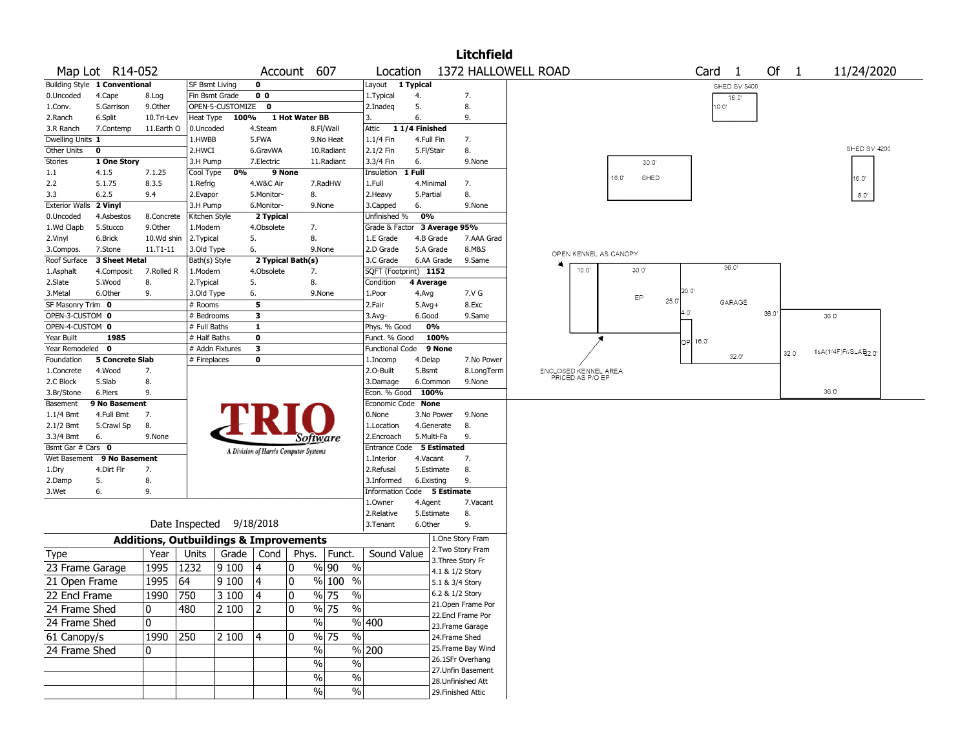|                                |                               |              |                                                   |                  |                                       |                |                  |                                         |               |                          | <b>Litchfield</b>   |                  |                       |                |      |                |                |      |        |                                 |  |
|--------------------------------|-------------------------------|--------------|---------------------------------------------------|------------------|---------------------------------------|----------------|------------------|-----------------------------------------|---------------|--------------------------|---------------------|------------------|-----------------------|----------------|------|----------------|----------------|------|--------|---------------------------------|--|
|                                | Map Lot R14-052               |              |                                                   |                  |                                       | Account 607    |                  | Location                                |               |                          | 1372 HALLOWELL ROAD |                  |                       |                |      | Card           | $\overline{1}$ |      | Of $1$ | 11/24/2020                      |  |
|                                | Building Style 1 Conventional |              | <b>SF Bsmt Living</b>                             |                  | 0                                     |                |                  | Layout 1 Typical                        |               |                          |                     |                  |                       |                |      |                | SHED SV \$400  |      |        |                                 |  |
| 0.Uncoded                      | 4.Cape                        | 8.Log        | Fin Bsmt Grade                                    |                  | 0 <sub>0</sub>                        |                |                  | 1. Typical                              | 4.            |                          | 7.                  |                  |                       |                |      |                | 16.0'          |      |        |                                 |  |
| 1.Conv.                        | 5.Garrison                    | 9.Other      |                                                   | OPEN-5-CUSTOMIZE | $\mathbf{o}$                          |                |                  | 2.Inadeq                                | 5.            |                          | 8.                  |                  |                       |                |      |                | 10.0'          |      |        |                                 |  |
| 2.Ranch                        | 6.Split                       | 10.Tri-Lev   | Heat Type                                         | 100%             |                                       | 1 Hot Water BB |                  | 3.                                      | 6.            |                          | 9.                  |                  |                       |                |      |                |                |      |        |                                 |  |
| 3.R Ranch                      | 7.Contemp                     | 11.Earth O   | 0.Uncoded                                         |                  | 4.Steam                               |                | 8.Fl/Wall        | Attic                                   | 11/4 Finished |                          |                     |                  |                       |                |      |                |                |      |        |                                 |  |
| Dwelling Units 1               |                               |              | 1.HWBB                                            |                  | 5.FWA                                 |                | 9.No Heat        | 1.1/4 Fin                               |               | 4.Full Fin               | 7.                  |                  |                       |                |      |                |                |      |        |                                 |  |
| Other Units                    | $\mathbf 0$                   |              | 2.HWCI                                            |                  | 6.GravWA                              |                | 10.Radiant       | 2.1/2 Fin                               |               | 5.Fl/Stair               | 8.                  |                  |                       |                |      |                |                |      |        | SHED SV 4200                    |  |
| <b>Stories</b>                 | 1 One Story                   |              | 3.H Pump                                          |                  | 7.Electric                            |                | 11.Radiant       | 3.3/4 Fin                               | 6.            |                          | 9.None              |                  |                       | $30.0^{\circ}$ |      |                |                |      |        |                                 |  |
| $1.1\,$                        | 4.1.5                         | 7.1.25       | Cool Type                                         | 0%               | 9 None                                |                |                  | Insulation                              | $1$ Full      |                          |                     |                  | 16.0'                 | SHED           |      |                |                |      |        | 16.0'                           |  |
| 2.2                            | 5.1.75                        | 8.3.5        | 1.Refrig                                          |                  | 4.W&C Air                             |                | 7.RadHW          | 1.Full                                  |               | 4.Minimal                | 7.                  |                  |                       |                |      |                |                |      |        |                                 |  |
| 3.3                            | 6.2.5                         | 9.4          | 2.Evapor                                          |                  | 5.Monitor-                            | 8.             |                  | 2. Heavy                                | 5.Partial     |                          | 8.                  |                  |                       |                |      |                |                |      |        | 8.0'                            |  |
| Exterior Walls 2 Vinyl         |                               |              | 3.H Pump                                          |                  | 6.Monitor-                            |                | 9.None           | 3.Capped                                | 6.            |                          | 9.None              |                  |                       |                |      |                |                |      |        |                                 |  |
| 0.Uncoded                      | 4.Asbestos                    | 8.Concrete   | Kitchen Style                                     |                  | 2 Typical                             |                |                  | Unfinished %                            | 0%            |                          |                     |                  |                       |                |      |                |                |      |        |                                 |  |
| 1.Wd Clapb                     | 5.Stucco                      | 9.0ther      | 1.Modern                                          |                  | 4.Obsolete                            | 7.             |                  | Grade & Factor 3 Average 95%            |               |                          |                     |                  |                       |                |      |                |                |      |        |                                 |  |
| 2.Vinyl                        | 6.Brick                       | 10.Wd shin   | 2.Typical                                         |                  | 5.                                    | 8.             |                  | 1.E Grade                               |               | 4.B Grade                | 7.AAA Grad          |                  |                       |                |      |                |                |      |        |                                 |  |
| 3.Compos.                      | 7.Stone                       | 11.T1-11     | 3.Old Type                                        |                  | 6.                                    |                | 9.None           | 2.D Grade                               |               | 5.A Grade                | 8.M&S               |                  | OPEN KENNEL AS CANOPY |                |      |                |                |      |        |                                 |  |
| Roof Surface                   | 3 Sheet Metal                 |              | Bath(s) Style                                     |                  | 2 Typical Bath(s)                     |                |                  | 3.C Grade                               |               | 6.AA Grade               | 9.Same              |                  | 10.0'                 | 30.0'          |      |                | 36.0'          |      |        |                                 |  |
| 1.Asphalt                      | 4.Composit                    | 7.Rolled R   | 1.Modern                                          |                  | 4.Obsolete                            | 7.             |                  | SQFT (Footprint) 1152                   |               |                          |                     |                  |                       |                |      |                |                |      |        |                                 |  |
| 2.Slate                        | 5.Wood                        | 8.           | 2.Typical                                         |                  | 5.                                    | 8.             |                  | Condition                               | 4 Average     |                          |                     |                  |                       |                |      | $20.0^{\circ}$ |                |      |        |                                 |  |
| 3. Metal                       | 6.Other                       | 9.           | 3.Old Type                                        |                  | 6.                                    |                | 9.None           | 1.Poor                                  | 4.Avg         |                          | 7.V G               |                  |                       | EP             | 25.0 |                | GARAGE         |      |        |                                 |  |
| SF Masonry Trim 0              |                               |              | # Rooms                                           |                  | 5                                     |                |                  | 2.Fair                                  | $5.Avg+$      |                          | 8.Exc               |                  |                       |                |      | 0٠.            |                | 36.0 |        |                                 |  |
| OPEN-3-CUSTOM 0                |                               |              | # Bedrooms                                        |                  | 3                                     |                |                  | $3.$ Avg-                               | 6.Good        |                          | 9.Same              |                  |                       |                |      |                |                |      |        | 36.0'                           |  |
| OPEN-4-CUSTOM 0                |                               |              | # Full Baths                                      |                  | 1                                     |                |                  | Phys. % Good                            |               | 0%                       |                     |                  |                       |                |      |                |                |      |        |                                 |  |
| Year Built                     | 1985                          |              | # Half Baths                                      |                  | 0                                     |                |                  | Funct. % Good                           |               | 100%                     |                     |                  |                       |                |      | 16.0'<br>OF    |                |      |        |                                 |  |
| Year Remodeled 0               |                               |              | # Addn Fixtures                                   |                  | 3                                     |                |                  | <b>Functional Code</b>                  |               | 9 None                   |                     |                  |                       |                |      |                | 32.0'          |      | 32.0'  | 1sA(1/4F)Fr/SLAB <sub>2.0</sub> |  |
| Foundation                     | 5 Concrete Slab               |              | # Fireplaces                                      |                  | 0                                     |                |                  | 1.Incomp                                | 4.Delap       |                          | 7.No Power          |                  |                       |                |      |                |                |      |        |                                 |  |
| 1.Concrete                     | 4.Wood                        | 7.           |                                                   |                  |                                       |                |                  | 2.0-Built                               | 5.Bsmt        |                          | 8.LongTerm          | PRICED AS P/O EP | ENCLOSED KENNEL AREA  |                |      |                |                |      |        |                                 |  |
| 2.C Block                      | 5.Slab                        | 8.           |                                                   |                  |                                       |                |                  | 3.Damage                                |               | 6.Common                 | 9.None              |                  |                       |                |      |                |                |      |        | 36.0'                           |  |
| 3.Br/Stone                     | 6.Piers                       | 9.           |                                                   |                  |                                       |                |                  | Econ. % Good                            |               | 100%                     |                     |                  |                       |                |      |                |                |      |        |                                 |  |
| Basement                       | 9 No Basement                 |              |                                                   |                  |                                       |                |                  | Economic Code None                      |               |                          |                     |                  |                       |                |      |                |                |      |        |                                 |  |
| 1.1/4 Bmt                      | 4.Full Bmt                    | 7.           |                                                   |                  |                                       |                |                  | 0.None                                  |               | 3.No Power               | 9.None              |                  |                       |                |      |                |                |      |        |                                 |  |
| 2.1/2 Bmt                      | 5.Crawl Sp                    | 8.<br>9.None |                                                   |                  |                                       |                |                  | 1.Location                              |               | 4.Generate<br>5.Multi-Fa | 8.<br>9.            |                  |                       |                |      |                |                |      |        |                                 |  |
| 3.3/4 Bmt<br>Bsmt Gar # Cars 0 | 6.                            |              |                                                   |                  |                                       |                | Software         | 2.Encroach<br>Entrance Code 5 Estimated |               |                          |                     |                  |                       |                |      |                |                |      |        |                                 |  |
| Wet Basement                   | 9 No Basement                 |              |                                                   |                  | A Division of Harris Computer Systems |                |                  | 1.Interior                              |               | 4.Vacant                 | 7.                  |                  |                       |                |      |                |                |      |        |                                 |  |
| 1.Dry                          | 4.Dirt Flr                    | 7.           |                                                   |                  |                                       |                |                  | 2.Refusal                               |               | 5.Estimate               | 8.                  |                  |                       |                |      |                |                |      |        |                                 |  |
| 2.Damp                         | 5.                            | 8.           |                                                   |                  |                                       |                |                  | 3.Informed                              |               | 6.Existing               | 9.                  |                  |                       |                |      |                |                |      |        |                                 |  |
| 3.Wet                          | 6.                            | 9.           |                                                   |                  |                                       |                |                  | Information Code 5 Estimate             |               |                          |                     |                  |                       |                |      |                |                |      |        |                                 |  |
|                                |                               |              |                                                   |                  |                                       |                |                  | 1.0wner                                 | 4.Agent       |                          | 7.Vacant            |                  |                       |                |      |                |                |      |        |                                 |  |
|                                |                               |              |                                                   |                  |                                       |                |                  | 2.Relative                              |               | 5.Estimate               | 8.                  |                  |                       |                |      |                |                |      |        |                                 |  |
|                                |                               |              | Date Inspected                                    |                  | 9/18/2018                             |                |                  | 3. Tenant                               | 6.Other       |                          | 9.                  |                  |                       |                |      |                |                |      |        |                                 |  |
|                                |                               |              | <b>Additions, Outbuildings &amp; Improvements</b> |                  |                                       |                |                  |                                         |               |                          | 1.One Story Fram    |                  |                       |                |      |                |                |      |        |                                 |  |
| Type                           |                               | Year         | Units                                             | Grade            | Cond                                  |                | Phys. Funct.     | Sound Value                             |               |                          | 2. Two Story Fram   |                  |                       |                |      |                |                |      |        |                                 |  |
|                                |                               |              |                                                   |                  |                                       |                |                  |                                         |               |                          | 3. Three Story Fr   |                  |                       |                |      |                |                |      |        |                                 |  |
| 23 Frame Garage                |                               | 1995         | 1232                                              | 9100             | 4                                     | 0              | %  90            | $\%$                                    |               |                          | 4.1 & 1/2 Story     |                  |                       |                |      |                |                |      |        |                                 |  |
| 21 Open Frame                  |                               | 1995         | 64                                                | 9 100            | 4                                     | 0              | % 100 %          |                                         |               |                          | 5.1 & 3/4 Story     |                  |                       |                |      |                |                |      |        |                                 |  |
| 22 Encl Frame                  |                               | 1990         | 750                                               | 3 100            | $\vert$ 4                             | 0              | $\frac{9}{6}$ 75 | $\frac{9}{6}$                           |               |                          | 6.2 & 1/2 Story     |                  |                       |                |      |                |                |      |        |                                 |  |
| 24 Frame Shed                  |                               | 0            | 480                                               | 2 100            | 2                                     | 0              | $\frac{8}{15}$   | $\frac{9}{6}$                           |               |                          | 21. Open Frame Por  |                  |                       |                |      |                |                |      |        |                                 |  |
| 24 Frame Shed                  |                               |              |                                                   |                  |                                       |                |                  |                                         |               |                          | 22.Encl Frame Por   |                  |                       |                |      |                |                |      |        |                                 |  |
|                                |                               | 0            |                                                   |                  |                                       |                | $\%$             | % 400                                   |               |                          | 23. Frame Garage    |                  |                       |                |      |                |                |      |        |                                 |  |
| 61 Canopy/s                    |                               | 1990 250     |                                                   | 2 100            | 4                                     | 0              | $\sqrt{96}$ 75   | $\%$                                    |               |                          | 24.Frame Shed       |                  |                       |                |      |                |                |      |        |                                 |  |
| 24 Frame Shed                  |                               | 0            |                                                   |                  |                                       |                | $\%$             | % 200                                   |               |                          | 25. Frame Bay Wind  |                  |                       |                |      |                |                |      |        |                                 |  |
|                                |                               |              |                                                   |                  |                                       |                | $\%$             | $\sqrt{6}$                              |               |                          | 26.1SFr Overhang    |                  |                       |                |      |                |                |      |        |                                 |  |
|                                |                               |              |                                                   |                  |                                       |                | $\%$             | $\%$                                    |               |                          | 27.Unfin Basement   |                  |                       |                |      |                |                |      |        |                                 |  |
|                                |                               |              |                                                   |                  |                                       |                |                  |                                         |               |                          | 28.Unfinished Att   |                  |                       |                |      |                |                |      |        |                                 |  |
|                                |                               |              |                                                   |                  |                                       |                | $\%$             | $\frac{0}{0}$                           |               |                          | 29. Finished Attic  |                  |                       |                |      |                |                |      |        |                                 |  |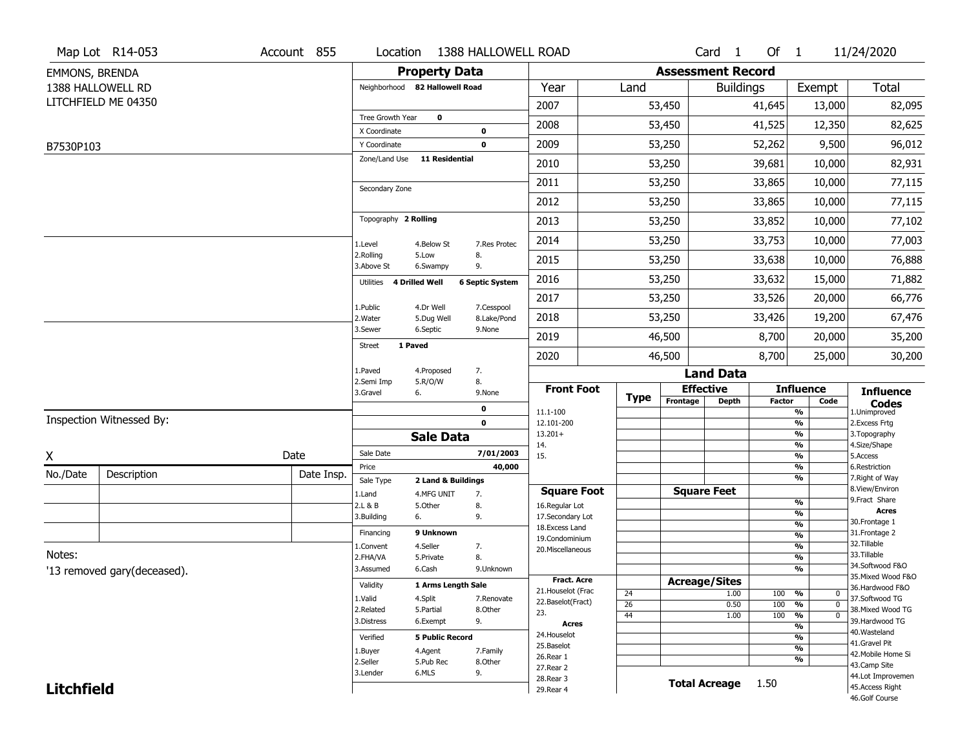|                   | Map Lot R14-053             | Account 855 | Location                       |                                              | 1388 HALLOWELL ROAD    |                                    |                 |                              | Card <sub>1</sub>            | Of 1          |                               | 11/24/2020                           |
|-------------------|-----------------------------|-------------|--------------------------------|----------------------------------------------|------------------------|------------------------------------|-----------------|------------------------------|------------------------------|---------------|-------------------------------|--------------------------------------|
| EMMONS, BRENDA    |                             |             |                                | <b>Property Data</b>                         |                        |                                    |                 | <b>Assessment Record</b>     |                              |               |                               |                                      |
|                   | 1388 HALLOWELL RD           |             | Neighborhood 82 Hallowell Road |                                              |                        | Year                               | Land            |                              | <b>Buildings</b>             |               | Exempt                        | Total                                |
|                   | LITCHFIELD ME 04350         |             |                                |                                              |                        | 2007                               |                 | 53,450                       |                              | 41,645        | 13,000                        | 82,095                               |
|                   |                             |             | Tree Growth Year               | $\mathbf 0$                                  |                        | 2008                               |                 | 53,450                       |                              | 41,525        | 12,350                        | 82,625                               |
|                   |                             |             | X Coordinate<br>Y Coordinate   |                                              | 0<br>$\mathbf 0$       | 2009                               |                 | 53,250                       |                              | 52,262        | 9,500                         | 96,012                               |
| B7530P103         |                             |             | Zone/Land Use                  | <b>11 Residential</b>                        |                        | 2010                               |                 | 53,250                       |                              | 39,681        | 10,000                        | 82,931                               |
|                   |                             |             |                                |                                              |                        | 2011                               |                 | 53,250                       |                              | 33,865        | 10,000                        | 77,115                               |
|                   |                             |             | Secondary Zone                 |                                              |                        | 2012                               |                 | 53,250                       |                              | 33,865        | 10,000                        | 77,115                               |
|                   |                             |             | Topography 2 Rolling           |                                              |                        | 2013                               |                 | 53,250                       |                              | 33,852        | 10,000                        | 77,102                               |
|                   |                             |             |                                |                                              |                        |                                    |                 |                              |                              |               |                               |                                      |
|                   |                             |             | 1.Level<br>2.Rolling           | 4.Below St<br>5.Low                          | 7.Res Protec<br>8.     | 2014                               |                 | 53,250                       |                              | 33,753        | 10,000                        | 77,003                               |
|                   |                             |             | 3.Above St                     | 6.Swampy                                     | 9.                     | 2015                               |                 | 53,250                       |                              | 33,638        | 10,000                        | 76,888                               |
|                   |                             |             | Utilities 4 Drilled Well       |                                              | <b>6 Septic System</b> | 2016                               |                 | 53,250                       |                              | 33,632        | 15,000                        | 71,882                               |
|                   |                             |             | 1.Public                       | 4.Dr Well                                    | 7.Cesspool             | 2017                               |                 | 53,250                       |                              | 33,526        | 20,000                        | 66,776                               |
|                   |                             |             | 2. Water<br>3.Sewer            | 5.Dug Well<br>6.Septic                       | 8.Lake/Pond<br>9.None  | 2018                               |                 | 53,250                       |                              | 33,426        | 19,200                        | 67,476                               |
|                   |                             |             | 1 Paved<br>Street              |                                              |                        | 2019                               |                 | 46,500                       |                              | 8,700         | 20,000                        | 35,200                               |
|                   |                             |             |                                |                                              |                        | 2020                               |                 | 46,500                       |                              | 8,700         | 25,000                        | 30,200                               |
|                   |                             |             | 2.Semi Imp                     | 1.Paved<br>4.Proposed<br>7.<br>5.R/O/W<br>8. |                        |                                    |                 |                              | <b>Land Data</b>             |               |                               |                                      |
|                   |                             |             | 3.Gravel<br>6.                 |                                              | 9.None                 | <b>Front Foot</b>                  | <b>Type</b>     | <b>Effective</b><br>Frontage | <b>Depth</b>                 | <b>Factor</b> | <b>Influence</b><br>Code      | <b>Influence</b>                     |
|                   | Inspection Witnessed By:    |             |                                |                                              | $\mathbf 0$            | 11.1-100                           |                 |                              |                              |               | $\frac{9}{6}$                 | <b>Codes</b><br>1.Unimproved         |
|                   |                             |             |                                | <b>Sale Data</b>                             | 0                      | 12.101-200<br>$13.201+$            |                 |                              |                              |               | $\overline{\frac{9}{6}}$<br>% | 2.Excess Frtg<br>3. Topography       |
|                   |                             |             | Sale Date                      |                                              | 7/01/2003              | 14.                                |                 |                              |                              |               | %                             | 4.Size/Shape                         |
| X                 |                             | Date        | Price                          |                                              | 40,000                 | 15.                                |                 |                              |                              |               | $\overline{\frac{9}{6}}$<br>% | 5.Access<br>6.Restriction            |
| No./Date          | Description                 | Date Insp.  | Sale Type                      | 2 Land & Buildings                           |                        |                                    |                 |                              |                              |               | %                             | 7. Right of Way                      |
|                   |                             |             | 1.Land                         | 4.MFG UNIT                                   | 7.                     | <b>Square Foot</b>                 |                 | <b>Square Feet</b>           |                              |               |                               | 8.View/Environ<br>9. Fract Share     |
|                   |                             |             | 2.L & B<br>3.Building<br>6.    | 5.0ther                                      | 8.<br>9.               | 16.Regular Lot<br>17.Secondary Lot |                 |                              |                              |               | %<br>%                        | <b>Acres</b>                         |
|                   |                             |             |                                |                                              |                        | 18. Excess Land                    |                 |                              |                              |               | $\frac{9}{6}$                 | 30. Frontage 1                       |
|                   |                             |             | Financing                      | 9 Unknown                                    |                        | 19.Condominium                     |                 |                              |                              |               | %                             | 31. Frontage 2<br>32.Tillable        |
| Notes:            |                             |             | 1.Convent<br>2.FHA/VA          | 4.Seller<br>5.Private                        | 7.<br>8.               | 20.Miscellaneous                   |                 |                              |                              |               | %<br>%                        | 33.Tillable                          |
|                   | '13 removed gary(deceased). |             | 3.Assumed                      | 6.Cash                                       | 9.Unknown              |                                    |                 |                              |                              |               | %                             | 34.Softwood F&O                      |
|                   |                             |             |                                |                                              |                        |                                    |                 |                              |                              |               |                               | 35. Mixed Wood F&O                   |
|                   |                             |             |                                |                                              |                        | Fract. Acre                        |                 |                              |                              |               |                               |                                      |
|                   |                             |             | Validity                       | 1 Arms Length Sale                           |                        | 21. Houselot (Frac                 | 24              |                              | <b>Acreage/Sites</b><br>1.00 | 100           | %<br>0                        | 36.Hardwood F&O                      |
|                   |                             |             | 1.Valid                        | 4.Split                                      | 7.Renovate             | 22.Baselot(Fract)                  | $\overline{26}$ |                              | 0.50                         | 100           | %<br>$\mathbf 0$              | 37.Softwood TG                       |
|                   |                             |             | 2.Related<br>3.Distress        | 5.Partial                                    | 8.Other                | 23.                                | 44              |                              | 1.00                         | 100           | %<br>0                        | 38. Mixed Wood TG                    |
|                   |                             |             |                                | 6.Exempt                                     | 9.                     | Acres                              |                 |                              |                              |               | %                             | 39.Hardwood TG<br>40. Wasteland      |
|                   |                             |             | Verified                       | <b>5 Public Record</b>                       |                        | 24. Houselot<br>25.Baselot         |                 |                              |                              |               | %                             | 41.Gravel Pit                        |
|                   |                             |             | 1.Buyer                        | 4.Agent                                      | 7.Family               | 26.Rear 1                          |                 |                              |                              |               | %                             | 42. Mobile Home Si                   |
|                   |                             |             | 2.Seller                       | 5.Pub Rec                                    | 8.Other                | 27. Rear 2                         |                 |                              |                              |               | %                             | 43.Camp Site                         |
| <b>Litchfield</b> |                             |             | 3.Lender                       | 6.MLS                                        | 9.                     | 28. Rear 3<br>29. Rear 4           |                 |                              | Total Acreage 1.50           |               |                               | 44.Lot Improvemen<br>45.Access Right |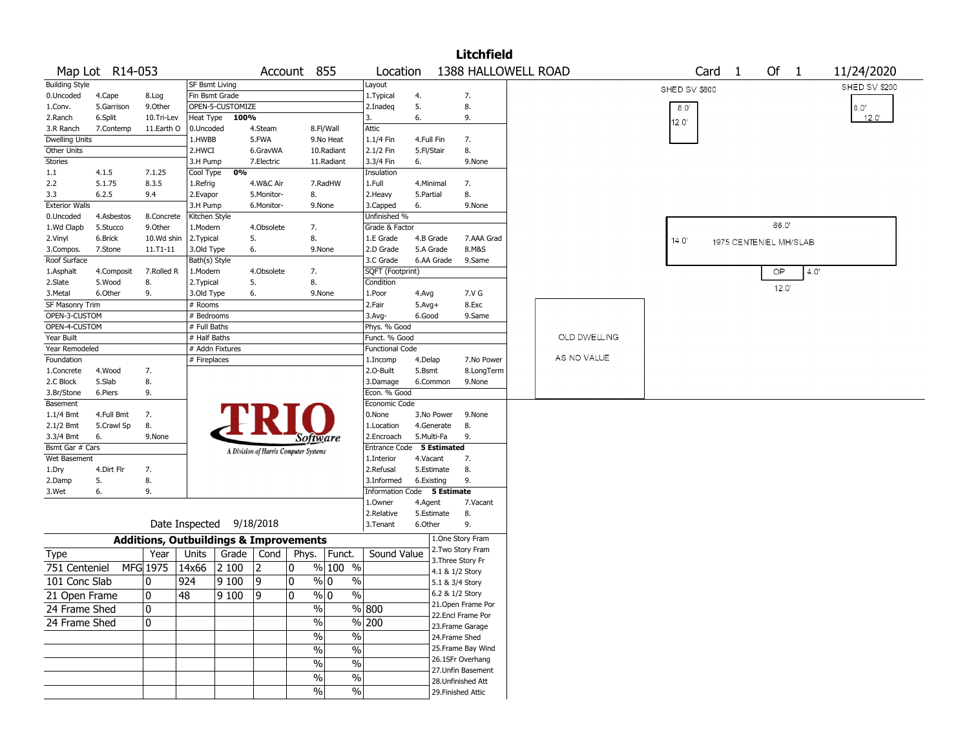|                       |                 |            |                       |                                                   |                                       |             |                               |                         |              |                    | <b>Litchfield</b>   |  |                     |                |                   |                        |    |      |             |                |
|-----------------------|-----------------|------------|-----------------------|---------------------------------------------------|---------------------------------------|-------------|-------------------------------|-------------------------|--------------|--------------------|---------------------|--|---------------------|----------------|-------------------|------------------------|----|------|-------------|----------------|
|                       | Map Lot R14-053 |            |                       |                                                   |                                       | Account 855 |                               | Location                |              |                    | 1388 HALLOWELL ROAD |  |                     |                | Card <sub>1</sub> |                        |    | Of 1 |             | 11/24/2020     |
| <b>Building Style</b> |                 |            | <b>SF Bsmt Living</b> |                                                   |                                       |             |                               | Layout                  |              |                    |                     |  |                     | SHED SV \$800  |                   |                        |    |      |             | SHED SV \$200  |
| 0.Uncoded             | 4.Cape          | 8.Log      | Fin Bsmt Grade        |                                                   |                                       |             |                               | 1. Typical              | 4.           |                    | 7.                  |  |                     |                |                   |                        |    |      |             |                |
| 1.Conv.               | 5.Garrison      | 9.Other    |                       | OPEN-5-CUSTOMIZE                                  |                                       |             |                               | 2.Inadeq                | 5.           |                    | 8.                  |  |                     | 8.0            |                   |                        |    |      |             | 8.0'           |
| 2.Ranch               | 6.Split         | 10.Tri-Lev | Heat Type             | 100%                                              |                                       |             |                               | 3.                      | 6.           |                    | 9.                  |  |                     | $12.0^{\circ}$ |                   |                        |    |      |             | $12.0^{\circ}$ |
| 3.R Ranch             | 7.Contemp       | 11.Earth O | 0.Uncoded             |                                                   | 4.Steam                               |             | 8.Fl/Wall                     | <b>Attic</b>            |              |                    |                     |  |                     |                |                   |                        |    |      |             |                |
| <b>Dwelling Units</b> |                 |            | 1.HWBB                |                                                   | 5.FWA                                 |             | 9.No Heat                     | 1.1/4 Fin               | 4.Full Fin   |                    | 7.                  |  |                     |                |                   |                        |    |      |             |                |
| Other Units           |                 |            | 2.HWCI                |                                                   | 6.GravWA                              |             | 10.Radiant                    | 2.1/2 Fin               | 5.Fl/Stair   |                    | 8.                  |  |                     |                |                   |                        |    |      |             |                |
| <b>Stories</b>        |                 |            | 3.H Pump              |                                                   | 7.Electric                            |             | 11.Radiant                    | 3.3/4 Fin               | 6.           |                    | 9.None              |  |                     |                |                   |                        |    |      |             |                |
| 1.1                   | 4.1.5           | 7.1.25     | Cool Type             | 0%                                                |                                       |             |                               | Insulation              |              |                    |                     |  |                     |                |                   |                        |    |      |             |                |
| 2.2                   | 5.1.75          | 8.3.5      | 1.Refrig              |                                                   | 4.W&C Air                             |             | 7.RadHW                       | 1.Full                  | 4.Minimal    |                    | 7.                  |  |                     |                |                   |                        |    |      |             |                |
| 3.3                   | 6.2.5           | 9.4        | 2.Evapor              |                                                   | 5.Monitor-                            |             | 8.                            | 2.Heavy                 | 5.Partial    |                    | 8.                  |  |                     |                |                   |                        |    |      |             |                |
| <b>Exterior Walls</b> |                 |            | 3.H Pump              |                                                   | 6.Monitor-                            |             | 9.None                        | 3.Capped                | 6.           |                    | 9.None              |  |                     |                |                   |                        |    |      |             |                |
| 0.Uncoded             | 4.Asbestos      | 8.Concrete | Kitchen Style         |                                                   |                                       |             |                               | Unfinished %            |              |                    |                     |  |                     |                |                   |                        |    |      |             |                |
| 1.Wd Clapb            | 5.Stucco        | 9.0ther    | 1.Modern              |                                                   | 4.Obsolete                            |             | 7.                            | Grade & Factor          |              |                    |                     |  |                     |                |                   |                        |    | 66.0 |             |                |
| 2.Vinyl               | 6.Brick         | 10.Wd shin | 2. Typical            |                                                   | 5.                                    |             | 8.                            | 1.E Grade               |              | 4.B Grade          | 7.AAA Grad          |  |                     | 14.0           |                   | 1975 CENTENIEL MH/SLAB |    |      |             |                |
| 3.Compos.             | 7.Stone         | 11.T1-11   | 3.Old Type            |                                                   | 6.                                    |             | 9.None                        | 2.D Grade               | 5.A Grade    |                    | 8.M&S               |  |                     |                |                   |                        |    |      |             |                |
| Roof Surface          |                 |            | Bath(s) Style         |                                                   |                                       |             |                               | 3.C Grade               |              | 6.AA Grade         | 9.Same              |  |                     |                |                   |                        |    |      |             |                |
| 1.Asphalt             | 4.Composit      | 7.Rolled R | 1.Modern              |                                                   | 4.Obsolete                            |             | 7.                            | SQFT (Footprint)        |              |                    |                     |  |                     |                |                   |                        | OP |      | $4.0^\circ$ |                |
| 2.Slate               | 5.Wood          | 8.         | 2. Typical            |                                                   | 5.                                    |             | 8.                            | Condition               |              |                    |                     |  |                     |                |                   |                        |    | 12.0 |             |                |
| 3.Metal               | 6.Other         | 9.         | 3.Old Type            |                                                   | 6.                                    |             | 9.None                        | 1.Poor                  | 4.Avg        |                    | 7.V G               |  |                     |                |                   |                        |    |      |             |                |
| SF Masonry Trim       |                 |            | # Rooms               |                                                   |                                       |             |                               | 2.Fair                  | $5.$ Avg $+$ |                    | 8.Exc               |  |                     |                |                   |                        |    |      |             |                |
| OPEN-3-CUSTOM         |                 |            | # Bedrooms            |                                                   |                                       |             |                               | 3.Avg-                  | 6.Good       |                    | 9.Same              |  |                     |                |                   |                        |    |      |             |                |
| OPEN-4-CUSTOM         |                 |            | # Full Baths          |                                                   |                                       |             |                               | Phys. % Good            |              |                    |                     |  |                     |                |                   |                        |    |      |             |                |
| Year Built            |                 |            | # Half Baths          |                                                   |                                       |             |                               | Funct. % Good           |              |                    |                     |  | <b>OLD DWELLING</b> |                |                   |                        |    |      |             |                |
| Year Remodeled        |                 |            | # Addn Fixtures       |                                                   |                                       |             |                               | <b>Functional Code</b>  |              |                    |                     |  |                     |                |                   |                        |    |      |             |                |
| Foundation            |                 |            | # Fireplaces          |                                                   |                                       |             |                               | 1.Incomp                | 4.Delap      |                    | 7.No Power          |  | AS NO VALUE         |                |                   |                        |    |      |             |                |
| 1.Concrete            | 4.Wood          | 7.         |                       |                                                   |                                       |             |                               | 2.0-Built               | 5.Bsmt       |                    | 8.LongTerm          |  |                     |                |                   |                        |    |      |             |                |
| 2.C Block             | 5.Slab          | 8.         |                       |                                                   |                                       |             |                               | 3.Damage                |              | 6.Common           | 9.None              |  |                     |                |                   |                        |    |      |             |                |
| 3.Br/Stone            | 6.Piers         | 9.         |                       |                                                   |                                       |             |                               | Econ. % Good            |              |                    |                     |  |                     |                |                   |                        |    |      |             |                |
| Basement              |                 |            |                       |                                                   |                                       |             |                               | Economic Code           |              |                    |                     |  |                     |                |                   |                        |    |      |             |                |
| 1.1/4 Bmt             | 4.Full Bmt      | 7.         |                       |                                                   |                                       |             |                               | 0.None                  |              | 3.No Power         | 9.None              |  |                     |                |                   |                        |    |      |             |                |
| 2.1/2 Bmt             | 5.Crawl Sp      | 8.         |                       |                                                   |                                       |             |                               | 1.Location              |              | 4.Generate         | 8.                  |  |                     |                |                   |                        |    |      |             |                |
| 3.3/4 Bmt             | 6.              | 9.None     |                       |                                                   |                                       |             | Software                      | 2.Encroach              | 5.Multi-Fa   |                    | 9.                  |  |                     |                |                   |                        |    |      |             |                |
| Bsmt Gar # Cars       |                 |            |                       |                                                   | A Division of Harris Computer Systems |             |                               | Entrance Code           |              | <b>5 Estimated</b> |                     |  |                     |                |                   |                        |    |      |             |                |
| Wet Basement          |                 |            |                       |                                                   |                                       |             |                               | 1.Interior              | 4.Vacant     |                    | 7.                  |  |                     |                |                   |                        |    |      |             |                |
| 1.Dry                 | 4.Dirt Flr      | 7.         |                       |                                                   |                                       |             |                               | 2.Refusal               |              | 5.Estimate         | 8.                  |  |                     |                |                   |                        |    |      |             |                |
| 2.Damp                | 5.              | 8.         |                       |                                                   |                                       |             |                               | 3.Informed              | 6.Existing   |                    | 9.                  |  |                     |                |                   |                        |    |      |             |                |
| 3.Wet                 | 6.              | 9.         |                       |                                                   |                                       |             |                               | <b>Information Code</b> |              | 5 Estimate         |                     |  |                     |                |                   |                        |    |      |             |                |
|                       |                 |            |                       |                                                   |                                       |             |                               | 1.Owner                 | 4.Agent      |                    | 7.Vacant            |  |                     |                |                   |                        |    |      |             |                |
|                       |                 |            |                       |                                                   |                                       |             |                               | 2.Relative              |              | 5.Estimate         | 8.                  |  |                     |                |                   |                        |    |      |             |                |
|                       |                 |            | Date Inspected        |                                                   | 9/18/2018                             |             |                               | 3.Tenant                | 6.Other      |                    | 9.                  |  |                     |                |                   |                        |    |      |             |                |
|                       |                 |            |                       | <b>Additions, Outbuildings &amp; Improvements</b> |                                       |             |                               |                         |              |                    | 1.One Story Fram    |  |                     |                |                   |                        |    |      |             |                |
| <b>Type</b>           |                 | Year       | Units                 |                                                   | Grade   Cond                          | Phys.       | Funct.                        | Sound Value             |              |                    | 2. Two Story Fram   |  |                     |                |                   |                        |    |      |             |                |
| 751 Centeniel         |                 | MFG 1975   | 14x66                 | 2 100                                             | 2                                     | 10          | % 100 %                       |                         |              | 4.1 & 1/2 Story    | 3. Three Story Fr   |  |                     |                |                   |                        |    |      |             |                |
| 101 Conc Slab         |                 | 0          | 924                   | 9 100                                             | 9                                     | 0           | % 0<br>$\%$                   |                         |              | 5.1 & 3/4 Story    |                     |  |                     |                |                   |                        |    |      |             |                |
|                       |                 | 0          | 48                    | 9 100                                             | ١g                                    | 0           | $\sqrt{6}$<br>$\frac{9}{0}$ 0 |                         |              | 6.2 & 1/2 Story    |                     |  |                     |                |                   |                        |    |      |             |                |
| 21 Open Frame         |                 |            |                       |                                                   |                                       |             |                               |                         |              |                    | 21. Open Frame Por  |  |                     |                |                   |                        |    |      |             |                |
| 24 Frame Shed         |                 | 0          |                       |                                                   |                                       |             | $\%$                          | % 800                   |              |                    | 22.Encl Frame Por   |  |                     |                |                   |                        |    |      |             |                |
| 24 Frame Shed         |                 | 0          |                       |                                                   |                                       |             | $\frac{1}{2}$                 | $\sqrt{8}$ 200          |              |                    | 23. Frame Garage    |  |                     |                |                   |                        |    |      |             |                |
|                       |                 |            |                       |                                                   |                                       |             | $\frac{9}{6}$<br>$\%$         |                         |              | 24.Frame Shed      |                     |  |                     |                |                   |                        |    |      |             |                |
|                       |                 |            |                       |                                                   |                                       |             | $\frac{9}{6}$                 |                         |              |                    | 25. Frame Bay Wind  |  |                     |                |                   |                        |    |      |             |                |
|                       |                 |            |                       |                                                   |                                       |             | $\%$                          |                         |              |                    | 26.1SFr Overhang    |  |                     |                |                   |                        |    |      |             |                |
|                       |                 |            |                       |                                                   |                                       |             | $\sqrt{6}$<br>$\%$            |                         |              |                    | 27.Unfin Basement   |  |                     |                |                   |                        |    |      |             |                |
|                       |                 |            |                       |                                                   |                                       |             | $\sqrt{6}$<br>$\%$            |                         |              |                    | 28. Unfinished Att  |  |                     |                |                   |                        |    |      |             |                |
|                       |                 |            |                       |                                                   |                                       |             | $\sqrt{6}$<br>$\%$            |                         |              |                    | 29. Finished Attic  |  |                     |                |                   |                        |    |      |             |                |
|                       |                 |            |                       |                                                   |                                       |             |                               |                         |              |                    |                     |  |                     |                |                   |                        |    |      |             |                |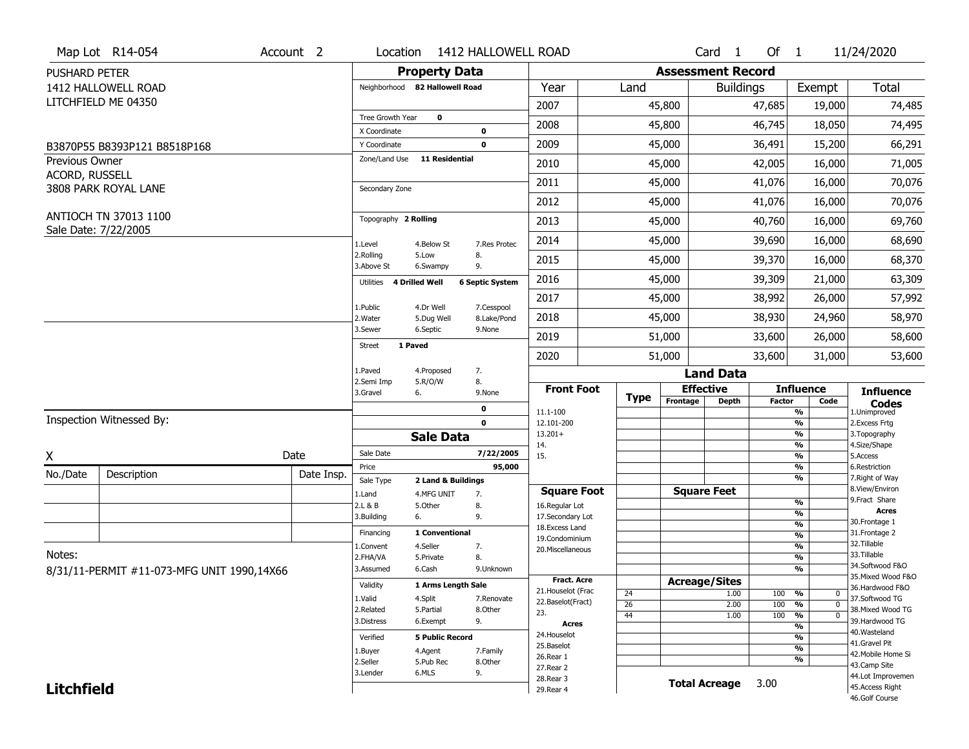|                       | Map Lot R14-054                               | Account 2  | Location                     |                                  | 1412 HALLOWELL ROAD       |                                         |                 |                          | Card <sub>1</sub>                    | Of $1$        |                          | 11/24/2020                            |
|-----------------------|-----------------------------------------------|------------|------------------------------|----------------------------------|---------------------------|-----------------------------------------|-----------------|--------------------------|--------------------------------------|---------------|--------------------------|---------------------------------------|
| <b>PUSHARD PETER</b>  |                                               |            |                              | <b>Property Data</b>             |                           |                                         |                 | <b>Assessment Record</b> |                                      |               |                          |                                       |
|                       | 1412 HALLOWELL ROAD                           |            |                              | Neighborhood 82 Hallowell Road   |                           | Year                                    | Land            |                          | <b>Buildings</b>                     |               | Exempt                   | Total                                 |
|                       | LITCHFIELD ME 04350                           |            |                              |                                  |                           | 2007                                    |                 | 45,800                   |                                      | 47,685        | 19,000                   | 74,485                                |
|                       |                                               |            | Tree Growth Year             | $\mathbf{o}$                     |                           | 2008                                    |                 | 45,800                   |                                      | 46,745        | 18,050                   | 74,495                                |
|                       | B3870P55 B8393P121 B8518P168                  |            | X Coordinate<br>Y Coordinate |                                  | 0<br>$\mathbf 0$          | 2009                                    |                 | 45,000                   |                                      | 36,491        | 15,200                   | 66,291                                |
| <b>Previous Owner</b> |                                               |            | Zone/Land Use                | <b>11 Residential</b>            |                           | 2010                                    |                 | 45,000                   |                                      | 42,005        | 16,000                   | 71,005                                |
| ACORD, RUSSELL        |                                               |            |                              |                                  |                           |                                         |                 |                          |                                      |               |                          |                                       |
|                       | 3808 PARK ROYAL LANE                          |            | Secondary Zone               |                                  |                           | 2011                                    |                 | 45,000                   |                                      | 41,076        | 16,000                   | 70,076                                |
|                       |                                               |            |                              |                                  |                           | 2012                                    |                 | 45,000                   |                                      | 41,076        | 16,000                   | 70,076                                |
|                       | ANTIOCH TN 37013 1100<br>Sale Date: 7/22/2005 |            | Topography 2 Rolling         |                                  |                           | 2013                                    |                 | 45,000                   |                                      | 40,760        | 16,000                   | 69,760                                |
|                       |                                               |            | 1.Level                      | 4.Below St                       | 7.Res Protec              | 2014                                    |                 | 45,000                   |                                      | 39,690        | 16,000                   | 68,690                                |
|                       |                                               |            | 2.Rolling<br>3.Above St      | 5.Low<br>6.Swampy                | 8.<br>9.                  | 2015                                    |                 | 45,000                   |                                      | 39,370        | 16,000                   | 68,370                                |
|                       |                                               |            | Utilities 4 Drilled Well     |                                  | <b>6 Septic System</b>    | 2016                                    |                 | 45,000                   |                                      | 39,309        | 21,000                   | 63,309                                |
|                       |                                               |            |                              |                                  |                           | 2017                                    |                 | 45,000                   |                                      | 38,992        | 26,000                   | 57,992                                |
|                       |                                               |            | 1.Public<br>2. Water         | 4.Dr Well<br>5.Dug Well          | 7.Cesspool<br>8.Lake/Pond | 2018                                    |                 | 45,000                   |                                      | 38,930        | 24,960                   | 58,970                                |
|                       |                                               |            | 3.Sewer                      | 6.Septic                         | 9.None                    | 2019                                    |                 | 51,000                   |                                      | 33,600        | 26,000                   | 58,600                                |
|                       |                                               |            | Street                       | 1 Paved                          |                           | 2020                                    |                 | 51,000                   |                                      | 33,600        | 31,000                   | 53,600                                |
|                       |                                               |            | 1.Paved                      | 4.Proposed                       | 7.                        |                                         |                 |                          | <b>Land Data</b>                     |               |                          |                                       |
|                       |                                               |            | 2.Semi Imp<br>3.Gravel       | 5.R/O/W<br>6.                    | 8.<br>9.None              | <b>Front Foot</b>                       |                 |                          | <b>Effective</b>                     |               | <b>Influence</b>         | <b>Influence</b>                      |
|                       |                                               |            |                              |                                  | $\mathbf 0$               | 11.1-100                                | <b>Type</b>     | Frontage                 | <b>Depth</b>                         | <b>Factor</b> | Code<br>$\frac{9}{6}$    | <b>Codes</b><br>1.Unimproved          |
|                       | Inspection Witnessed By:                      |            |                              |                                  | $\mathbf 0$               | 12.101-200                              |                 |                          |                                      |               | $\overline{\frac{9}{6}}$ | 2.Excess Frtg                         |
|                       |                                               |            |                              | <b>Sale Data</b>                 |                           | $13.201+$<br>14.                        |                 |                          |                                      |               | %<br>%                   | 3. Topography<br>4.Size/Shape         |
| X                     |                                               | Date       | Sale Date                    |                                  | 7/22/2005                 | 15.                                     |                 |                          |                                      |               | $\frac{9}{6}$            | 5.Access                              |
| No./Date              | Description                                   | Date Insp. | Price                        |                                  | 95,000                    |                                         |                 |                          |                                      |               | %<br>%                   | 6.Restriction<br>7. Right of Way      |
|                       |                                               |            | Sale Type<br>1.Land          | 2 Land & Buildings<br>4.MFG UNIT | 7.                        | <b>Square Foot</b>                      |                 |                          | <b>Square Feet</b>                   |               |                          | 8.View/Environ                        |
|                       |                                               |            | 2.L & B                      | 5.Other                          | 8.                        | 16.Regular Lot                          |                 |                          |                                      |               | $\frac{9}{6}$            | 9. Fract Share                        |
|                       |                                               |            | 3.Building                   | 6.                               | 9.                        | 17.Secondary Lot                        |                 |                          |                                      |               | %                        | <b>Acres</b><br>30. Frontage 1        |
|                       |                                               |            | Financing                    | 1 Conventional                   |                           | 18. Excess Land<br>19.Condominium       |                 |                          |                                      |               | %<br>%                   | 31. Frontage 2                        |
|                       |                                               |            | 1.Convent                    | 4.Seller                         | 7.                        | 20.Miscellaneous                        |                 |                          |                                      |               | %                        | 32.Tillable                           |
| Notes:                |                                               |            | 2.FHA/VA                     | 5.Private                        | 8.                        |                                         |                 |                          |                                      |               | %                        | 33.Tillable                           |
|                       | 8/31/11-PERMIT #11-073-MFG UNIT 1990,14X66    |            | 3.Assumed                    | 6.Cash                           | 9.Unknown                 |                                         |                 |                          |                                      |               | %                        | 34.Softwood F&O                       |
|                       |                                               |            | Validity                     | 1 Arms Length Sale               |                           | <b>Fract. Acre</b>                      |                 |                          | <b>Acreage/Sites</b>                 |               |                          | 35. Mixed Wood F&O<br>36.Hardwood F&O |
|                       |                                               |            | 1.Valid                      | 4.Split                          | 7.Renovate                | 21. Houselot (Frac<br>22.Baselot(Fract) | 24              |                          | 1.00                                 | 100           | %<br>0                   | 37.Softwood TG                        |
|                       |                                               |            | 2.Related                    | 5.Partial                        | 8.Other                   | 23.                                     | $\overline{26}$ |                          | 2.00                                 | 100           | %<br>$\mathbf 0$         | 38. Mixed Wood TG                     |
|                       |                                               |            | 3.Distress                   | 6.Exempt                         | 9.                        | <b>Acres</b>                            | 44              |                          | 1.00                                 | 100           | %<br>0                   | 39.Hardwood TG                        |
|                       |                                               |            | Verified                     | <b>5 Public Record</b>           |                           | 24. Houselot                            |                 |                          |                                      |               | %<br>%                   | 40. Wasteland                         |
|                       |                                               |            |                              |                                  |                           | 25.Baselot                              |                 |                          |                                      |               | %                        | 41.Gravel Pit                         |
|                       |                                               |            | 1.Buyer<br>2.Seller          | 4.Agent<br>5.Pub Rec             | 7.Family<br>8.Other       | 26.Rear 1                               |                 |                          |                                      |               | %                        | 42. Mobile Home Si                    |
|                       |                                               |            | 3.Lender                     | 6.MLS                            | 9.                        | 27. Rear 2                              |                 |                          |                                      |               |                          | 43.Camp Site                          |
| <b>Litchfield</b>     |                                               |            |                              |                                  |                           | 28. Rear 3                              |                 | <b>Total Acreage</b>     | 44.Lot Improvemen<br>45.Access Right |               |                          |                                       |
|                       |                                               |            |                              |                                  |                           | 29. Rear 4                              |                 |                          |                                      | 3.00          |                          |                                       |